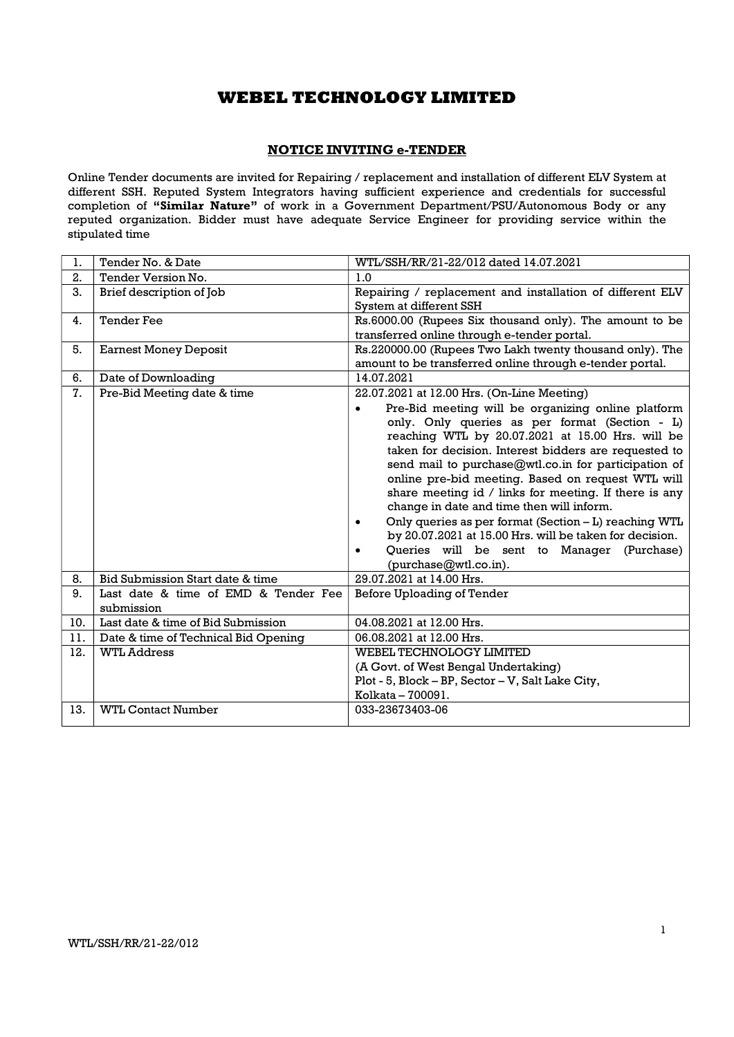### NOTICE INVITING e-TENDER

Online Tender documents are invited for Repairing / replacement and installation of different ELV System at different SSH. Reputed System Integrators having sufficient experience and credentials for successful completion of "Similar Nature" of work in a Government Department/PSU/Autonomous Body or any reputed organization. Bidder must have adequate Service Engineer for providing service within the stipulated time

| 1.  | Tender No. & Date                                  | WTL/SSH/RR/21-22/012 dated 14.07.2021                                                                                                                                                                                                                                                                                                                                                                                                                                                                                                                                                                                           |
|-----|----------------------------------------------------|---------------------------------------------------------------------------------------------------------------------------------------------------------------------------------------------------------------------------------------------------------------------------------------------------------------------------------------------------------------------------------------------------------------------------------------------------------------------------------------------------------------------------------------------------------------------------------------------------------------------------------|
| 2.  | Tender Version No.                                 | 1.0                                                                                                                                                                                                                                                                                                                                                                                                                                                                                                                                                                                                                             |
| 3.  | Brief description of Job                           | Repairing / replacement and installation of different ELV                                                                                                                                                                                                                                                                                                                                                                                                                                                                                                                                                                       |
|     |                                                    | System at different SSH                                                                                                                                                                                                                                                                                                                                                                                                                                                                                                                                                                                                         |
| 4.  | <b>Tender Fee</b>                                  | Rs.6000.00 (Rupees Six thousand only). The amount to be                                                                                                                                                                                                                                                                                                                                                                                                                                                                                                                                                                         |
|     |                                                    | transferred online through e-tender portal.                                                                                                                                                                                                                                                                                                                                                                                                                                                                                                                                                                                     |
| 5.  | <b>Earnest Money Deposit</b>                       | Rs.220000.00 (Rupees Two Lakh twenty thousand only). The                                                                                                                                                                                                                                                                                                                                                                                                                                                                                                                                                                        |
|     |                                                    | amount to be transferred online through e-tender portal.                                                                                                                                                                                                                                                                                                                                                                                                                                                                                                                                                                        |
| 6.  | Date of Downloading                                | 14.07.2021                                                                                                                                                                                                                                                                                                                                                                                                                                                                                                                                                                                                                      |
| 7.  | Pre-Bid Meeting date & time                        | 22.07.2021 at 12.00 Hrs. (On-Line Meeting)                                                                                                                                                                                                                                                                                                                                                                                                                                                                                                                                                                                      |
|     |                                                    | Pre-Bid meeting will be organizing online platform<br>only. Only queries as per format (Section - L)<br>reaching WTL by 20.07.2021 at 15.00 Hrs. will be<br>taken for decision. Interest bidders are requested to<br>send mail to purchase@wtl.co.in for participation of<br>online pre-bid meeting. Based on request WTL will<br>share meeting id / links for meeting. If there is any<br>change in date and time then will inform.<br>Only queries as per format (Section - L) reaching WTL<br>by 20.07.2021 at 15.00 Hrs. will be taken for decision.<br>Queries will be sent to Manager (Purchase)<br>(purchase@wtl.co.in). |
| 8.  | Bid Submission Start date & time                   | 29.07.2021 at 14.00 Hrs.                                                                                                                                                                                                                                                                                                                                                                                                                                                                                                                                                                                                        |
| 9.  | Last date & time of EMD & Tender Fee<br>submission | Before Uploading of Tender                                                                                                                                                                                                                                                                                                                                                                                                                                                                                                                                                                                                      |
| 10. | Last date & time of Bid Submission                 | 04.08.2021 at 12.00 Hrs.                                                                                                                                                                                                                                                                                                                                                                                                                                                                                                                                                                                                        |
| 11. | Date & time of Technical Bid Opening               | 06.08.2021 at 12.00 Hrs.                                                                                                                                                                                                                                                                                                                                                                                                                                                                                                                                                                                                        |
| 12. | <b>WTL Address</b>                                 | <b>WEBEL TECHNOLOGY LIMITED</b>                                                                                                                                                                                                                                                                                                                                                                                                                                                                                                                                                                                                 |
|     |                                                    | (A Govt. of West Bengal Undertaking)                                                                                                                                                                                                                                                                                                                                                                                                                                                                                                                                                                                            |
|     |                                                    | Plot - 5, Block - BP, Sector - V, Salt Lake City,                                                                                                                                                                                                                                                                                                                                                                                                                                                                                                                                                                               |
|     |                                                    | Kolkata - 700091.                                                                                                                                                                                                                                                                                                                                                                                                                                                                                                                                                                                                               |
| 13. | <b>WTL Contact Number</b>                          | 033-23673403-06                                                                                                                                                                                                                                                                                                                                                                                                                                                                                                                                                                                                                 |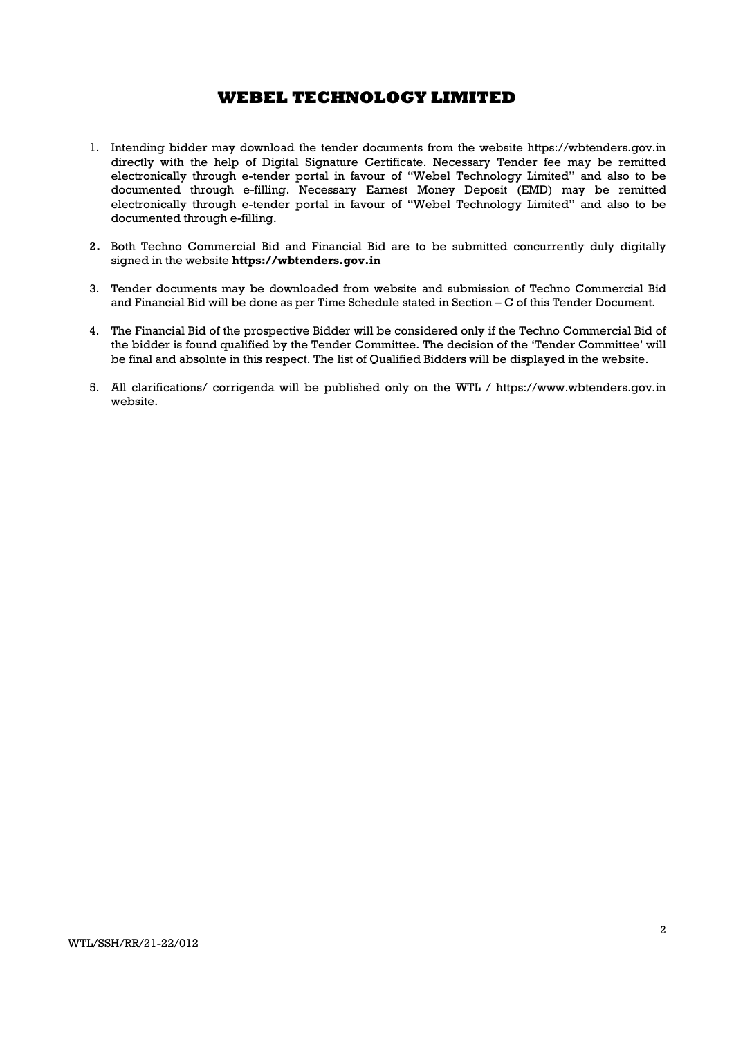- 1. Intending bidder may download the tender documents from the website https://wbtenders.gov.in directly with the help of Digital Signature Certificate. Necessary Tender fee may be remitted electronically through e-tender portal in favour of "Webel Technology Limited" and also to be documented through e-filling. Necessary Earnest Money Deposit (EMD) may be remitted electronically through e-tender portal in favour of "Webel Technology Limited" and also to be documented through e-filling.
- 2. Both Techno Commercial Bid and Financial Bid are to be submitted concurrently duly digitally signed in the website https://wbtenders.gov.in
- 3. Tender documents may be downloaded from website and submission of Techno Commercial Bid and Financial Bid will be done as per Time Schedule stated in Section – C of this Tender Document.
- 4. The Financial Bid of the prospective Bidder will be considered only if the Techno Commercial Bid of the bidder is found qualified by the Tender Committee. The decision of the 'Tender Committee' will be final and absolute in this respect. The list of Qualified Bidders will be displayed in the website.
- 5. All clarifications/ corrigenda will be published only on the WTL / https://www.wbtenders.gov.in website.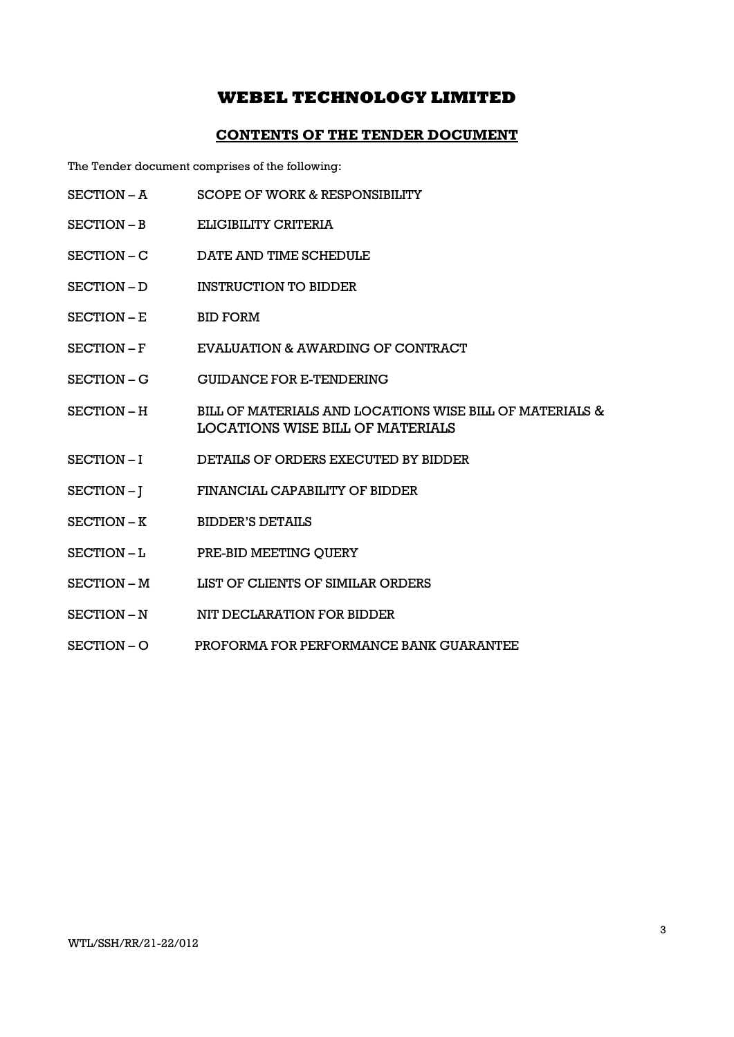### CONTENTS OF THE TENDER DOCUMENT

The Tender document comprises of the following:

- SECTION A SCOPE OF WORK & RESPONSIBILITY
- SECTION B ELIGIBILITY CRITERIA
- SECTION C DATE AND TIME SCHEDULE
- SECTION D INSTRUCTION TO BIDDER
- SECTION E BID FORM
- SECTION F EVALUATION & AWARDING OF CONTRACT
- SECTION G GUIDANCE FOR E-TENDERING
- SECTION H BILL OF MATERIALS AND LOCATIONS WISE BILL OF MATERIALS & LOCATIONS WISE BILL OF MATERIALS
- SECTION I DETAILS OF ORDERS EXECUTED BY BIDDER
- SECTION J FINANCIAL CAPABILITY OF BIDDER
- SECTION K BIDDER'S DETAILS
- SECTION L PRE-BID MEETING OUERY
- SECTION M LIST OF CLIENTS OF SIMILAR ORDERS
- SECTION N WIT DECLARATION FOR BIDDER
- SECTION O PROFORMA FOR PERFORMANCE BANK GUARANTEE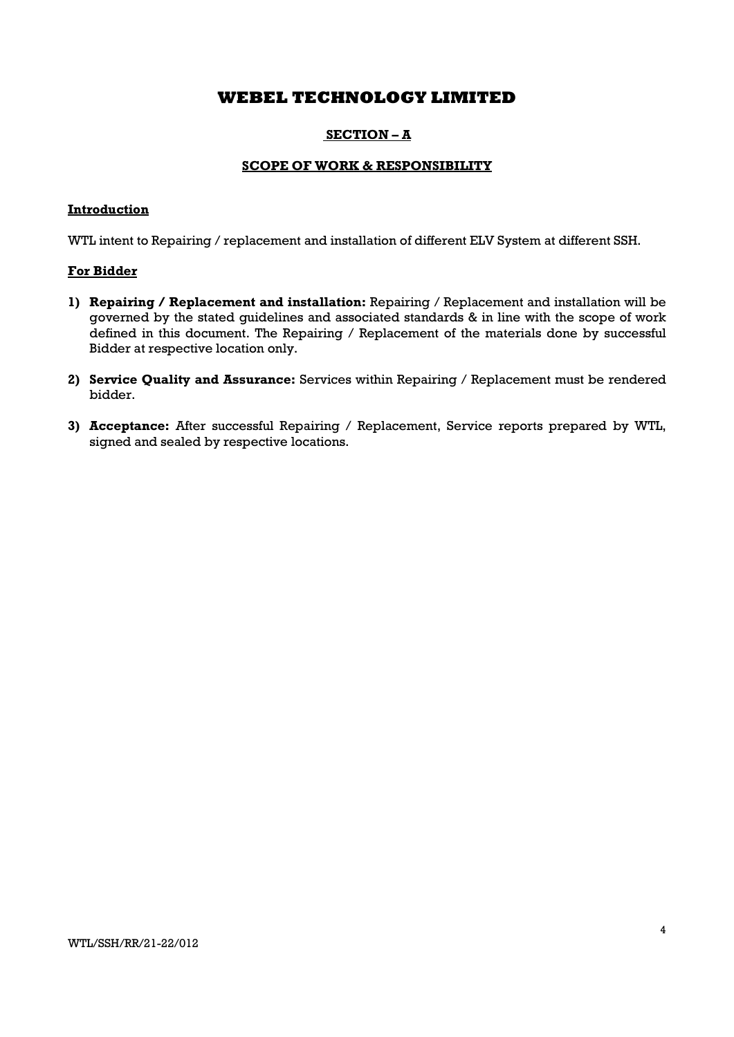### SECTION – A

### SCOPE OF WORK & RESPONSIBILITY

### Introduction

WTL intent to Repairing / replacement and installation of different ELV System at different SSH.

### For Bidder

- 1) Repairing / Replacement and installation: Repairing / Replacement and installation will be governed by the stated guidelines and associated standards & in line with the scope of work defined in this document. The Repairing / Replacement of the materials done by successful Bidder at respective location only.
- 2) Service Quality and Assurance: Services within Repairing / Replacement must be rendered bidder.
- 3) Acceptance: After successful Repairing / Replacement, Service reports prepared by WTL, signed and sealed by respective locations.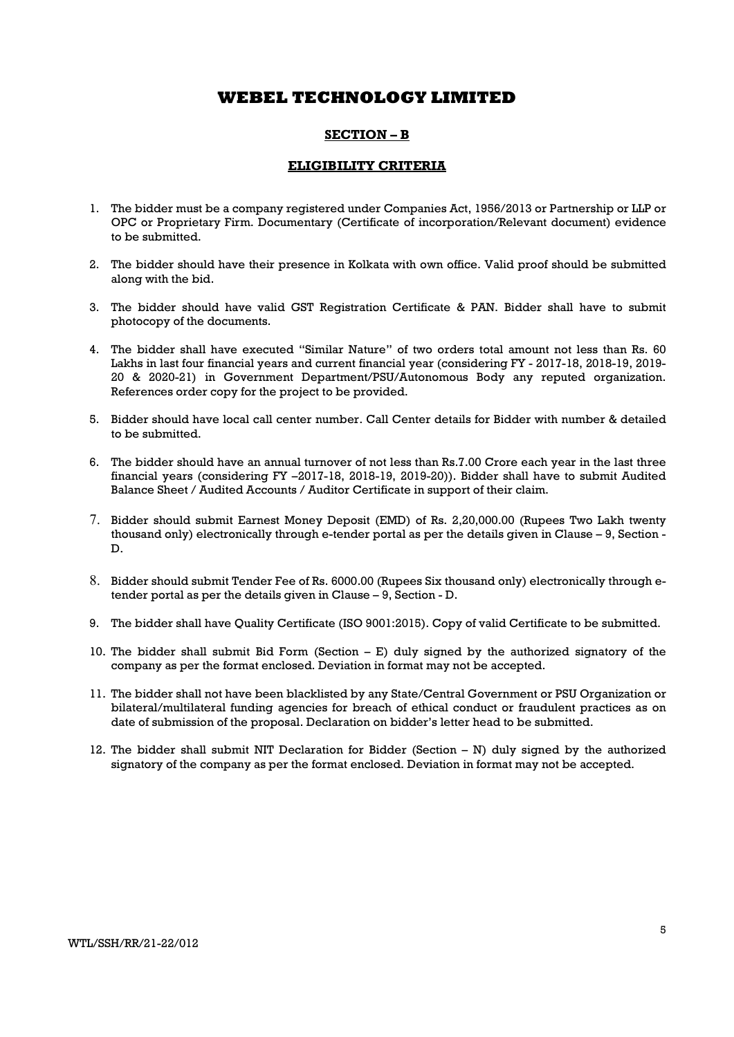### SECTION – B

### ELIGIBILITY CRITERIA

- 1. The bidder must be a company registered under Companies Act, 1956/2013 or Partnership or LLP or OPC or Proprietary Firm. Documentary (Certificate of incorporation/Relevant document) evidence to be submitted.
- 2. The bidder should have their presence in Kolkata with own office. Valid proof should be submitted along with the bid.
- 3. The bidder should have valid GST Registration Certificate & PAN. Bidder shall have to submit photocopy of the documents.
- 4. The bidder shall have executed "Similar Nature" of two orders total amount not less than Rs. 60 Lakhs in last four financial years and current financial year (considering FY - 2017-18, 2018-19, 2019- 20 & 2020-21) in Government Department/PSU/Autonomous Body any reputed organization. References order copy for the project to be provided.
- 5. Bidder should have local call center number. Call Center details for Bidder with number & detailed to be submitted.
- 6. The bidder should have an annual turnover of not less than Rs.7.00 Crore each year in the last three financial years (considering FY –2017-18, 2018-19, 2019-20)). Bidder shall have to submit Audited Balance Sheet / Audited Accounts / Auditor Certificate in support of their claim.
- 7. Bidder should submit Earnest Money Deposit (EMD) of Rs. 2,20,000.00 (Rupees Two Lakh twenty thousand only) electronically through e-tender portal as per the details given in Clause – 9, Section - D.
- 8. Bidder should submit Tender Fee of Rs. 6000.00 (Rupees Six thousand only) electronically through etender portal as per the details given in Clause – 9, Section - D.
- 9. The bidder shall have Quality Certificate (ISO 9001:2015). Copy of valid Certificate to be submitted.
- 10. The bidder shall submit Bid Form (Section E) duly signed by the authorized signatory of the company as per the format enclosed. Deviation in format may not be accepted.
- 11. The bidder shall not have been blacklisted by any State/Central Government or PSU Organization or bilateral/multilateral funding agencies for breach of ethical conduct or fraudulent practices as on date of submission of the proposal. Declaration on bidder's letter head to be submitted.
- 12. The bidder shall submit NIT Declaration for Bidder (Section N) duly signed by the authorized signatory of the company as per the format enclosed. Deviation in format may not be accepted.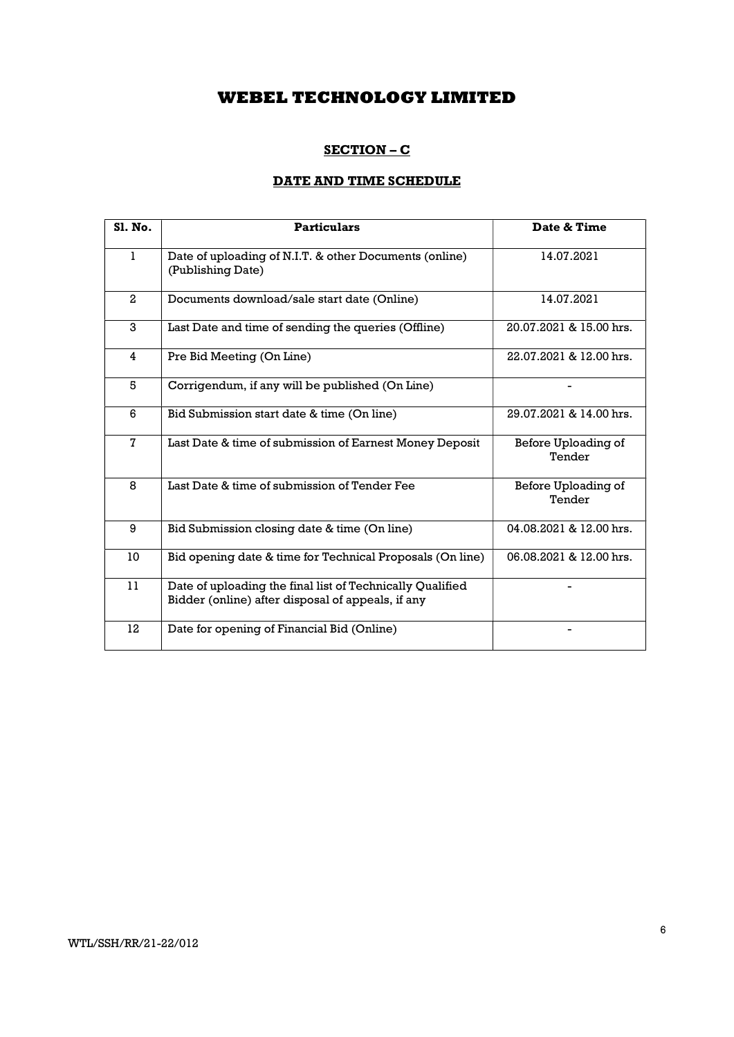### SECTION – C

### DATE AND TIME SCHEDULE

| SI. No.      | <b>Particulars</b>                                                                                             | Date & Time                   |
|--------------|----------------------------------------------------------------------------------------------------------------|-------------------------------|
| $\mathbf{1}$ | Date of uploading of N.I.T. & other Documents (online)<br>(Publishing Date)                                    | 14.07.2021                    |
| $\mathbf{2}$ | Documents download/sale start date (Online)                                                                    | 14.07.2021                    |
| 3            | Last Date and time of sending the queries (Offline)                                                            | 20.07.2021 & 15.00 hrs.       |
| 4            | Pre Bid Meeting (On Line)                                                                                      | 22.07.2021 & 12.00 hrs.       |
| 5            | Corrigendum, if any will be published (On Line)                                                                |                               |
| 6            | Bid Submission start date & time (On line)                                                                     | 29.07.2021 & 14.00 hrs.       |
| $\mathbf{7}$ | Last Date & time of submission of Earnest Money Deposit                                                        | Before Uploading of<br>Tender |
| 8            | Last Date & time of submission of Tender Fee                                                                   | Before Uploading of<br>Tender |
| 9            | Bid Submission closing date & time (On line)                                                                   | 04.08.2021 & 12.00 hrs.       |
| 10           | Bid opening date & time for Technical Proposals (On line)                                                      | 06.08.2021 & 12.00 hrs.       |
| 11           | Date of uploading the final list of Technically Qualified<br>Bidder (online) after disposal of appeals, if any |                               |
| 12           | Date for opening of Financial Bid (Online)                                                                     |                               |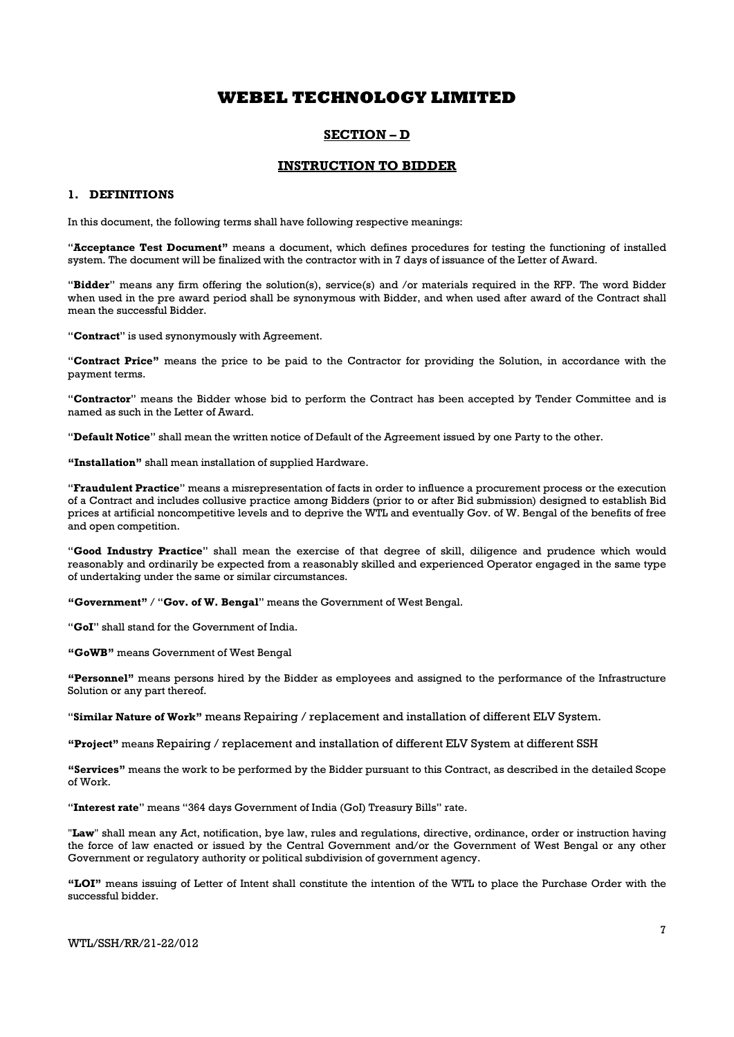### SECTION – D

### INSTRUCTION TO BIDDER

#### 1. DEFINITIONS

In this document, the following terms shall have following respective meanings:

"Acceptance Test Document" means a document, which defines procedures for testing the functioning of installed system. The document will be finalized with the contractor with in 7 days of issuance of the Letter of Award.

"Bidder" means any firm offering the solution(s), service(s) and /or materials required in the RFP. The word Bidder when used in the pre award period shall be synonymous with Bidder, and when used after award of the Contract shall mean the successful Bidder.

"Contract" is used synonymously with Agreement.

"Contract Price" means the price to be paid to the Contractor for providing the Solution, in accordance with the payment terms.

"Contractor" means the Bidder whose bid to perform the Contract has been accepted by Tender Committee and is named as such in the Letter of Award.

"Default Notice" shall mean the written notice of Default of the Agreement issued by one Party to the other.

"Installation" shall mean installation of supplied Hardware.

"Fraudulent Practice" means a misrepresentation of facts in order to influence a procurement process or the execution of a Contract and includes collusive practice among Bidders (prior to or after Bid submission) designed to establish Bid prices at artificial noncompetitive levels and to deprive the WTL and eventually Gov. of W. Bengal of the benefits of free and open competition.

"Good Industry Practice" shall mean the exercise of that degree of skill, diligence and prudence which would reasonably and ordinarily be expected from a reasonably skilled and experienced Operator engaged in the same type of undertaking under the same or similar circumstances.

"Government" / "Gov. of W. Bengal" means the Government of West Bengal.

"GoI" shall stand for the Government of India.

"GoWB" means Government of West Bengal

"Personnel" means persons hired by the Bidder as employees and assigned to the performance of the Infrastructure Solution or any part thereof.

"Similar Nature of Work" means Repairing / replacement and installation of different ELV System.

"Project" means Repairing / replacement and installation of different ELV System at different SSH

"Services" means the work to be performed by the Bidder pursuant to this Contract, as described in the detailed Scope of Work.

"Interest rate" means "364 days Government of India (GoI) Treasury Bills" rate.

"Law" shall mean any Act, notification, bye law, rules and regulations, directive, ordinance, order or instruction having the force of law enacted or issued by the Central Government and/or the Government of West Bengal or any other Government or regulatory authority or political subdivision of government agency.

"LOI" means issuing of Letter of Intent shall constitute the intention of the WTL to place the Purchase Order with the successful bidder.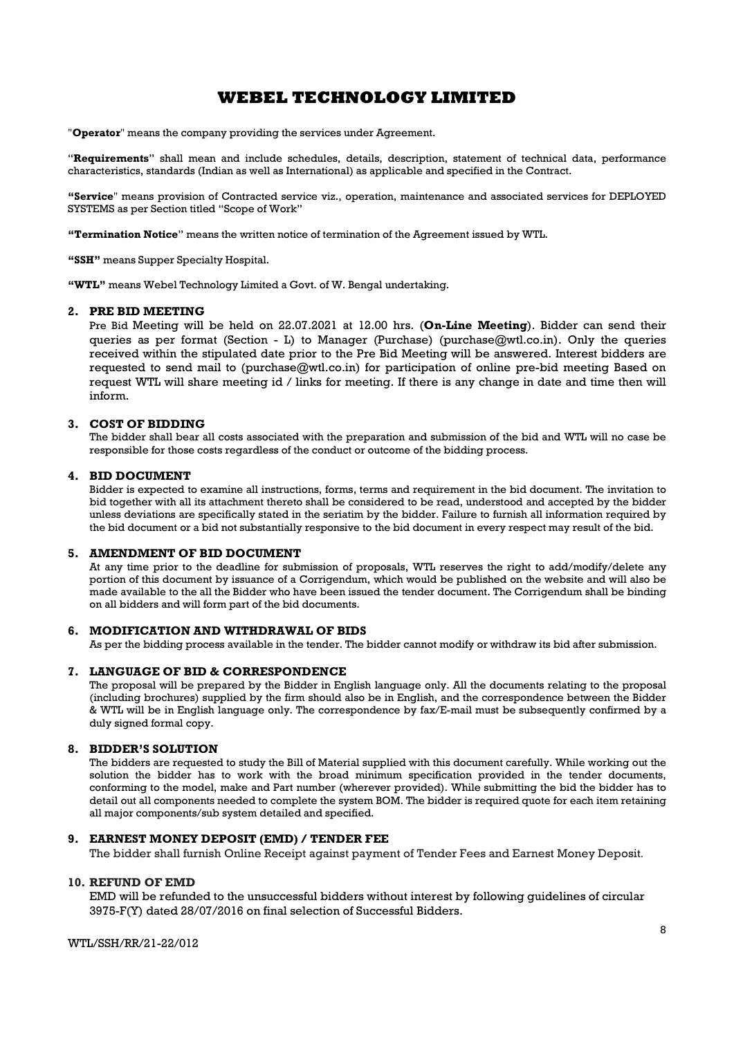"Operator" means the company providing the services under Agreement.

"Requirements" shall mean and include schedules, details, description, statement of technical data, performance characteristics, standards (Indian as well as International) as applicable and specified in the Contract.

"Service" means provision of Contracted service viz., operation, maintenance and associated services for DEPLOYED SYSTEMS as per Section titled "Scope of Work"

"Termination Notice" means the written notice of termination of the Agreement issued by WTL.

"SSH" means Supper Specialty Hospital.

"WTL" means Webel Technology Limited a Govt. of W. Bengal undertaking.

#### 2. PRE BID MEETING

Pre Bid Meeting will be held on 22.07.2021 at 12.00 hrs. (On-Line Meeting). Bidder can send their queries as per format (Section - L) to Manager (Purchase) (purchase@wtl.co.in). Only the queries received within the stipulated date prior to the Pre Bid Meeting will be answered. Interest bidders are requested to send mail to (purchase@wtl.co.in) for participation of online pre-bid meeting Based on request WTL will share meeting id / links for meeting. If there is any change in date and time then will inform.

#### 3. COST OF BIDDING

The bidder shall bear all costs associated with the preparation and submission of the bid and WTL will no case be responsible for those costs regardless of the conduct or outcome of the bidding process.

#### 4. BID DOCUMENT

Bidder is expected to examine all instructions, forms, terms and requirement in the bid document. The invitation to bid together with all its attachment thereto shall be considered to be read, understood and accepted by the bidder unless deviations are specifically stated in the seriatim by the bidder. Failure to furnish all information required by the bid document or a bid not substantially responsive to the bid document in every respect may result of the bid.

#### 5. AMENDMENT OF BID DOCUMENT

At any time prior to the deadline for submission of proposals, WTL reserves the right to add/modify/delete any portion of this document by issuance of a Corrigendum, which would be published on the website and will also be made available to the all the Bidder who have been issued the tender document. The Corrigendum shall be binding on all bidders and will form part of the bid documents.

#### 6. MODIFICATION AND WITHDRAWAL OF BIDS

As per the bidding process available in the tender. The bidder cannot modify or withdraw its bid after submission.

#### 7. LANGUAGE OF BID & CORRESPONDENCE

The proposal will be prepared by the Bidder in English language only. All the documents relating to the proposal (including brochures) supplied by the firm should also be in English, and the correspondence between the Bidder & WTL will be in English language only. The correspondence by fax/E-mail must be subsequently confirmed by a duly signed formal copy.

#### 8. BIDDER'S SOLUTION

The bidders are requested to study the Bill of Material supplied with this document carefully. While working out the solution the bidder has to work with the broad minimum specification provided in the tender documents, conforming to the model, make and Part number (wherever provided). While submitting the bid the bidder has to detail out all components needed to complete the system BOM. The bidder is required quote for each item retaining all major components/sub system detailed and specified.

#### 9. EARNEST MONEY DEPOSIT (EMD) / TENDER FEE

The bidder shall furnish Online Receipt against payment of Tender Fees and Earnest Money Deposit.

#### 10. REFUND OF EMD

EMD will be refunded to the unsuccessful bidders without interest by following guidelines of circular 3975-F(Y) dated 28/07/2016 on final selection of Successful Bidders.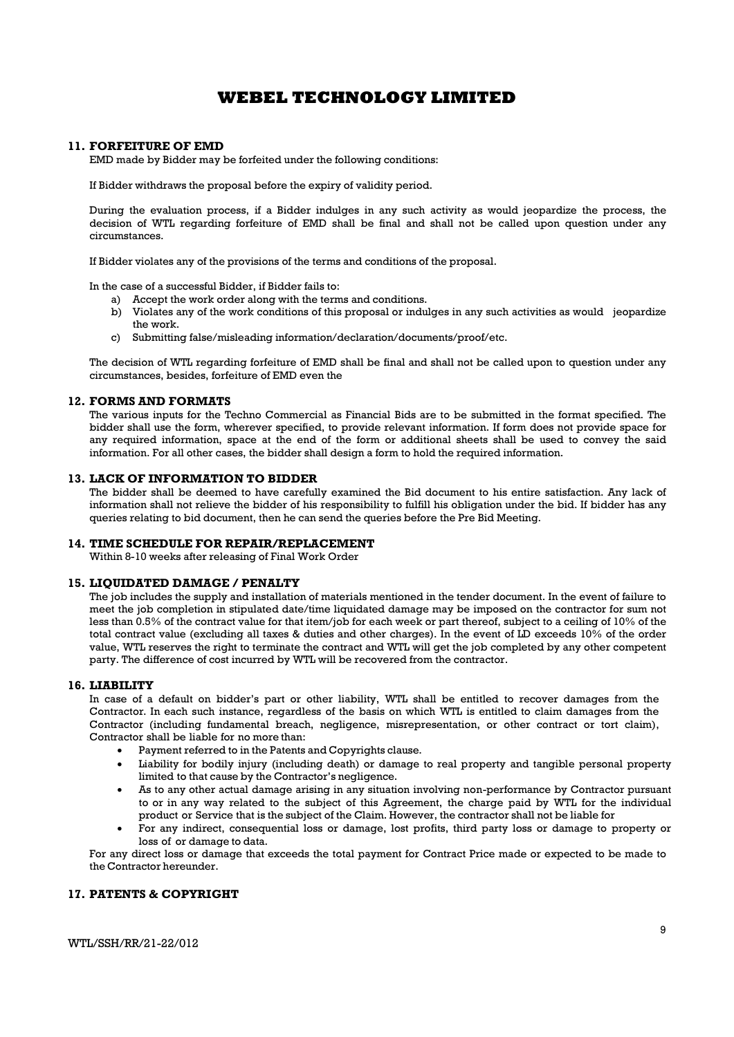#### 11. FORFEITURE OF EMD

EMD made by Bidder may be forfeited under the following conditions:

If Bidder withdraws the proposal before the expiry of validity period.

During the evaluation process, if a Bidder indulges in any such activity as would jeopardize the process, the decision of WTL regarding forfeiture of EMD shall be final and shall not be called upon question under any circumstances.

If Bidder violates any of the provisions of the terms and conditions of the proposal.

In the case of a successful Bidder, if Bidder fails to:

- a) Accept the work order along with the terms and conditions.
- b) Violates any of the work conditions of this proposal or indulges in any such activities as would jeopardize the work.
- c) Submitting false/misleading information/declaration/documents/proof/etc.

The decision of WTL regarding forfeiture of EMD shall be final and shall not be called upon to question under any circumstances, besides, forfeiture of EMD even the

#### 12. FORMS AND FORMATS

The various inputs for the Techno Commercial as Financial Bids are to be submitted in the format specified. The bidder shall use the form, wherever specified, to provide relevant information. If form does not provide space for any required information, space at the end of the form or additional sheets shall be used to convey the said information. For all other cases, the bidder shall design a form to hold the required information.

### 13. LACK OF INFORMATION TO BIDDER

The bidder shall be deemed to have carefully examined the Bid document to his entire satisfaction. Any lack of information shall not relieve the bidder of his responsibility to fulfill his obligation under the bid. If bidder has any queries relating to bid document, then he can send the queries before the Pre Bid Meeting.

#### 14. TIME SCHEDULE FOR REPAIR/REPLACEMENT

Within 8-10 weeks after releasing of Final Work Order

#### 15. LIQUIDATED DAMAGE / PENALTY

The job includes the supply and installation of materials mentioned in the tender document. In the event of failure to meet the job completion in stipulated date/time liquidated damage may be imposed on the contractor for sum not less than 0.5% of the contract value for that item/job for each week or part thereof, subject to a ceiling of 10% of the total contract value (excluding all taxes & duties and other charges). In the event of LD exceeds 10% of the order value, WTL reserves the right to terminate the contract and WTL will get the job completed by any other competent party. The difference of cost incurred by WTL will be recovered from the contractor.

#### 16. LIABILITY

In case of a default on bidder's part or other liability, WTL shall be entitled to recover damages from the Contractor. In each such instance, regardless of the basis on which WTL is entitled to claim damages from the Contractor (including fundamental breach, negligence, misrepresentation, or other contract or tort claim), Contractor shall be liable for no more than:

- Payment referred to in the Patents and Copyrights clause.
- Liability for bodily injury (including death) or damage to real property and tangible personal property limited to that cause by the Contractor's negligence.
- As to any other actual damage arising in any situation involving non-performance by Contractor pursuant to or in any way related to the subject of this Agreement, the charge paid by WTL for the individual product or Service that is the subject of the Claim. However, the contractor shall not be liable for
- For any indirect, consequential loss or damage, lost profits, third party loss or damage to property or loss of or damage to data.

For any direct loss or damage that exceeds the total payment for Contract Price made or expected to be made to the Contractor hereunder.

### 17. PATENTS & COPYRIGHT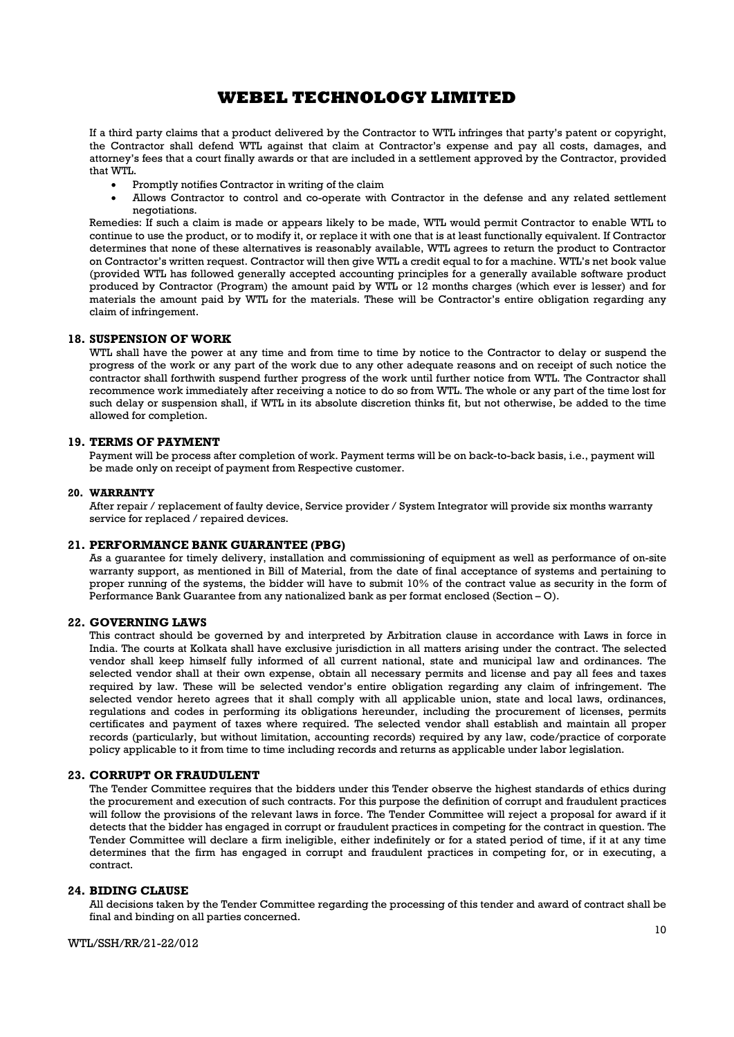If a third party claims that a product delivered by the Contractor to WTL infringes that party's patent or copyright, the Contractor shall defend WTL against that claim at Contractor's expense and pay all costs, damages, and attorney's fees that a court finally awards or that are included in a settlement approved by the Contractor, provided that WTL.

- Promptly notifies Contractor in writing of the claim
- Allows Contractor to control and co-operate with Contractor in the defense and any related settlement negotiations.

Remedies: If such a claim is made or appears likely to be made, WTL would permit Contractor to enable WTL to continue to use the product, or to modify it, or replace it with one that is at least functionally equivalent. If Contractor determines that none of these alternatives is reasonably available, WTL agrees to return the product to Contractor on Contractor's written request. Contractor will then give WTL a credit equal to for a machine. WTL's net book value (provided WTL has followed generally accepted accounting principles for a generally available software product produced by Contractor (Program) the amount paid by WTL or 12 months charges (which ever is lesser) and for materials the amount paid by WTL for the materials. These will be Contractor's entire obligation regarding any claim of infringement.

#### 18. SUSPENSION OF WORK

WTL shall have the power at any time and from time to time by notice to the Contractor to delay or suspend the progress of the work or any part of the work due to any other adequate reasons and on receipt of such notice the contractor shall forthwith suspend further progress of the work until further notice from WTL. The Contractor shall recommence work immediately after receiving a notice to do so from WTL. The whole or any part of the time lost for such delay or suspension shall, if WTL in its absolute discretion thinks fit, but not otherwise, be added to the time allowed for completion.

#### 19. TERMS OF PAYMENT

Payment will be process after completion of work. Payment terms will be on back-to-back basis, i.e., payment will be made only on receipt of payment from Respective customer.

#### 20. WARRANTY

After repair / replacement of faulty device, Service provider / System Integrator will provide six months warranty service for replaced / repaired devices.

### 21. PERFORMANCE BANK GUARANTEE (PBG)

As a guarantee for timely delivery, installation and commissioning of equipment as well as performance of on-site warranty support, as mentioned in Bill of Material, from the date of final acceptance of systems and pertaining to proper running of the systems, the bidder will have to submit 10% of the contract value as security in the form of Performance Bank Guarantee from any nationalized bank as per format enclosed (Section – O).

#### 22. GOVERNING LAWS

This contract should be governed by and interpreted by Arbitration clause in accordance with Laws in force in India. The courts at Kolkata shall have exclusive jurisdiction in all matters arising under the contract. The selected vendor shall keep himself fully informed of all current national, state and municipal law and ordinances. The selected vendor shall at their own expense, obtain all necessary permits and license and pay all fees and taxes required by law. These will be selected vendor's entire obligation regarding any claim of infringement. The selected vendor hereto agrees that it shall comply with all applicable union, state and local laws, ordinances, regulations and codes in performing its obligations hereunder, including the procurement of licenses, permits certificates and payment of taxes where required. The selected vendor shall establish and maintain all proper records (particularly, but without limitation, accounting records) required by any law, code/practice of corporate policy applicable to it from time to time including records and returns as applicable under labor legislation.

#### 23. CORRUPT OR FRAUDULENT

The Tender Committee requires that the bidders under this Tender observe the highest standards of ethics during the procurement and execution of such contracts. For this purpose the definition of corrupt and fraudulent practices will follow the provisions of the relevant laws in force. The Tender Committee will reject a proposal for award if it detects that the bidder has engaged in corrupt or fraudulent practices in competing for the contract in question. The Tender Committee will declare a firm ineligible, either indefinitely or for a stated period of time, if it at any time determines that the firm has engaged in corrupt and fraudulent practices in competing for, or in executing, a contract.

#### 24. BIDING CLAUSE

All decisions taken by the Tender Committee regarding the processing of this tender and award of contract shall be final and binding on all parties concerned.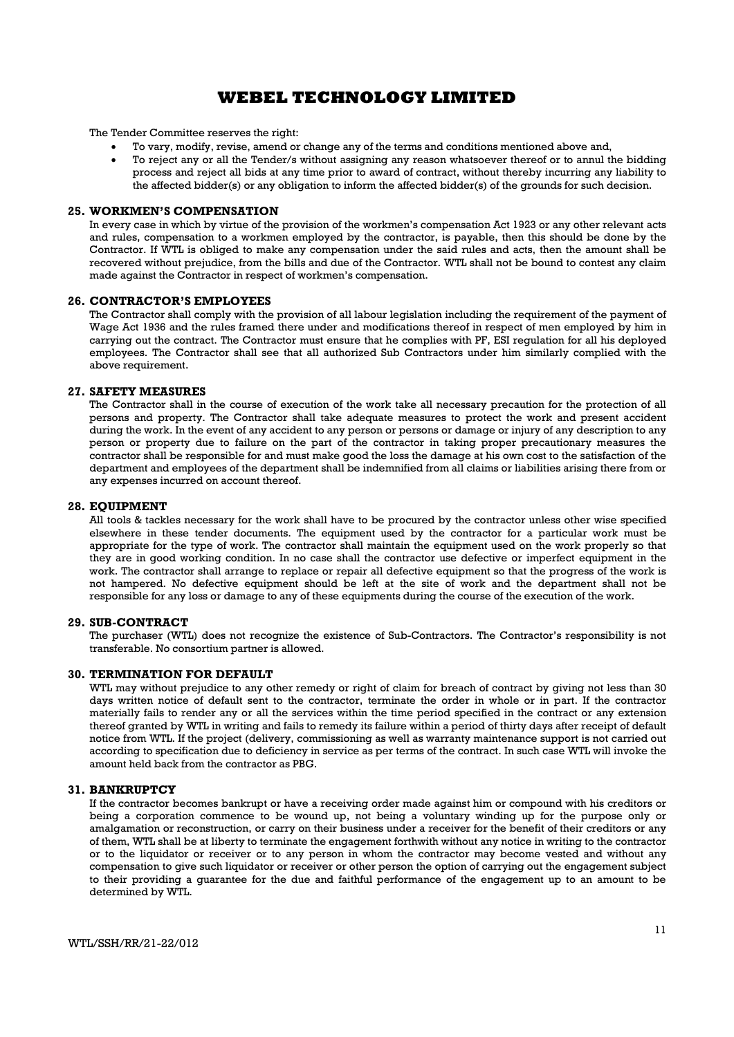The Tender Committee reserves the right:

- To vary, modify, revise, amend or change any of the terms and conditions mentioned above and,
- To reject any or all the Tender/s without assigning any reason whatsoever thereof or to annul the bidding process and reject all bids at any time prior to award of contract, without thereby incurring any liability to the affected bidder(s) or any obligation to inform the affected bidder(s) of the grounds for such decision.

#### 25. WORKMEN'S COMPENSATION

In every case in which by virtue of the provision of the workmen's compensation Act 1923 or any other relevant acts and rules, compensation to a workmen employed by the contractor, is payable, then this should be done by the Contractor. If WTL is obliged to make any compensation under the said rules and acts, then the amount shall be recovered without prejudice, from the bills and due of the Contractor. WTL shall not be bound to contest any claim made against the Contractor in respect of workmen's compensation.

#### 26. CONTRACTOR'S EMPLOYEES

The Contractor shall comply with the provision of all labour legislation including the requirement of the payment of Wage Act 1936 and the rules framed there under and modifications thereof in respect of men employed by him in carrying out the contract. The Contractor must ensure that he complies with PF, ESI regulation for all his deployed employees. The Contractor shall see that all authorized Sub Contractors under him similarly complied with the above requirement.

#### 27. SAFETY MEASURES

The Contractor shall in the course of execution of the work take all necessary precaution for the protection of all persons and property. The Contractor shall take adequate measures to protect the work and present accident during the work. In the event of any accident to any person or persons or damage or injury of any description to any person or property due to failure on the part of the contractor in taking proper precautionary measures the contractor shall be responsible for and must make good the loss the damage at his own cost to the satisfaction of the department and employees of the department shall be indemnified from all claims or liabilities arising there from or any expenses incurred on account thereof.

#### 28. EQUIPMENT

All tools & tackles necessary for the work shall have to be procured by the contractor unless other wise specified elsewhere in these tender documents. The equipment used by the contractor for a particular work must be appropriate for the type of work. The contractor shall maintain the equipment used on the work properly so that they are in good working condition. In no case shall the contractor use defective or imperfect equipment in the work. The contractor shall arrange to replace or repair all defective equipment so that the progress of the work is not hampered. No defective equipment should be left at the site of work and the department shall not be responsible for any loss or damage to any of these equipments during the course of the execution of the work.

#### 29. SUB-CONTRACT

The purchaser (WTL) does not recognize the existence of Sub-Contractors. The Contractor's responsibility is not transferable. No consortium partner is allowed.

#### 30. TERMINATION FOR DEFAULT

WTL may without prejudice to any other remedy or right of claim for breach of contract by giving not less than 30 days written notice of default sent to the contractor, terminate the order in whole or in part. If the contractor materially fails to render any or all the services within the time period specified in the contract or any extension thereof granted by WTL in writing and fails to remedy its failure within a period of thirty days after receipt of default notice from WTL. If the project (delivery, commissioning as well as warranty maintenance support is not carried out according to specification due to deficiency in service as per terms of the contract. In such case WTL will invoke the amount held back from the contractor as PBG.

#### 31. BANKRUPTCY

If the contractor becomes bankrupt or have a receiving order made against him or compound with his creditors or being a corporation commence to be wound up, not being a voluntary winding up for the purpose only or amalgamation or reconstruction, or carry on their business under a receiver for the benefit of their creditors or any of them, WTL shall be at liberty to terminate the engagement forthwith without any notice in writing to the contractor or to the liquidator or receiver or to any person in whom the contractor may become vested and without any compensation to give such liquidator or receiver or other person the option of carrying out the engagement subject to their providing a guarantee for the due and faithful performance of the engagement up to an amount to be determined by WTL.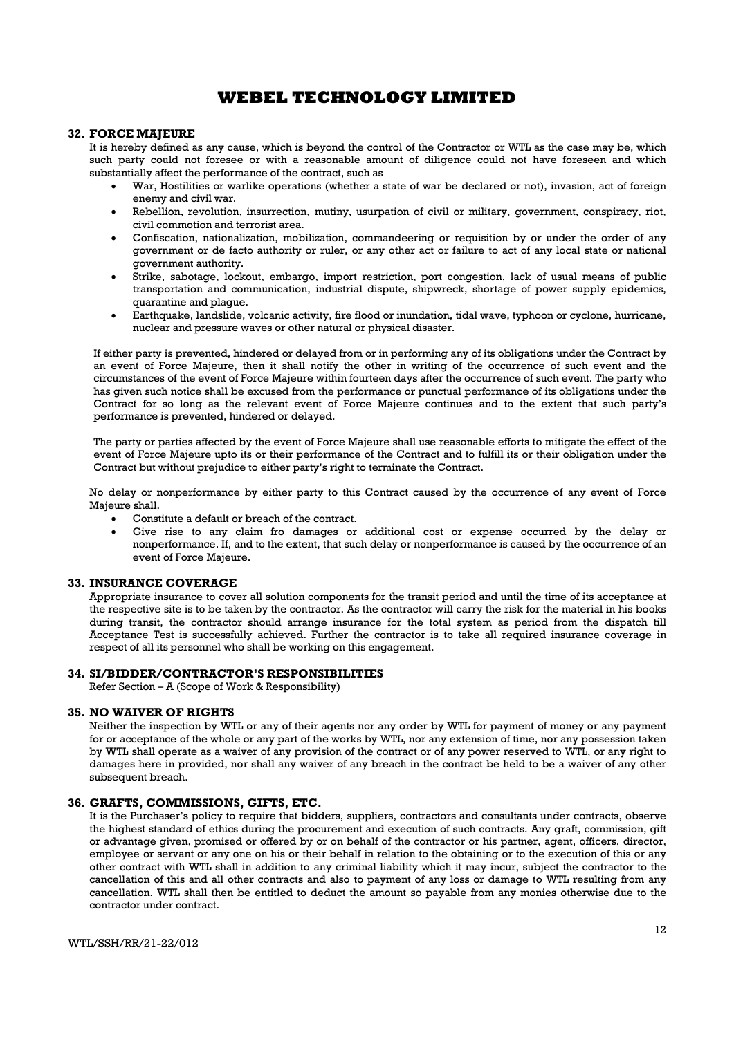#### 32. FORCE MAJEURE

It is hereby defined as any cause, which is beyond the control of the Contractor or WTL as the case may be, which such party could not foresee or with a reasonable amount of diligence could not have foreseen and which substantially affect the performance of the contract, such as

- War, Hostilities or warlike operations (whether a state of war be declared or not), invasion, act of foreign enemy and civil war.
- Rebellion, revolution, insurrection, mutiny, usurpation of civil or military, government, conspiracy, riot, civil commotion and terrorist area.
- Confiscation, nationalization, mobilization, commandeering or requisition by or under the order of any government or de facto authority or ruler, or any other act or failure to act of any local state or national government authority.
- Strike, sabotage, lockout, embargo, import restriction, port congestion, lack of usual means of public transportation and communication, industrial dispute, shipwreck, shortage of power supply epidemics, quarantine and plague.
- Earthquake, landslide, volcanic activity, fire flood or inundation, tidal wave, typhoon or cyclone, hurricane, nuclear and pressure waves or other natural or physical disaster.

If either party is prevented, hindered or delayed from or in performing any of its obligations under the Contract by an event of Force Majeure, then it shall notify the other in writing of the occurrence of such event and the circumstances of the event of Force Majeure within fourteen days after the occurrence of such event. The party who has given such notice shall be excused from the performance or punctual performance of its obligations under the Contract for so long as the relevant event of Force Majeure continues and to the extent that such party's performance is prevented, hindered or delayed.

The party or parties affected by the event of Force Majeure shall use reasonable efforts to mitigate the effect of the event of Force Majeure upto its or their performance of the Contract and to fulfill its or their obligation under the Contract but without prejudice to either party's right to terminate the Contract.

No delay or nonperformance by either party to this Contract caused by the occurrence of any event of Force Majeure shall.

- Constitute a default or breach of the contract.
- Give rise to any claim fro damages or additional cost or expense occurred by the delay or nonperformance. If, and to the extent, that such delay or nonperformance is caused by the occurrence of an event of Force Majeure.

#### 33. INSURANCE COVERAGE

Appropriate insurance to cover all solution components for the transit period and until the time of its acceptance at the respective site is to be taken by the contractor. As the contractor will carry the risk for the material in his books during transit, the contractor should arrange insurance for the total system as period from the dispatch till Acceptance Test is successfully achieved. Further the contractor is to take all required insurance coverage in respect of all its personnel who shall be working on this engagement.

#### 34. SI/BIDDER/CONTRACTOR'S RESPONSIBILITIES

Refer Section – A (Scope of Work & Responsibility)

#### 35. NO WAIVER OF RIGHTS

Neither the inspection by WTL or any of their agents nor any order by WTL for payment of money or any payment for or acceptance of the whole or any part of the works by WTL, nor any extension of time, nor any possession taken by WTL shall operate as a waiver of any provision of the contract or of any power reserved to WTL, or any right to damages here in provided, nor shall any waiver of any breach in the contract be held to be a waiver of any other subsequent breach.

#### 36. GRAFTS, COMMISSIONS, GIFTS, ETC.

It is the Purchaser's policy to require that bidders, suppliers, contractors and consultants under contracts, observe the highest standard of ethics during the procurement and execution of such contracts. Any graft, commission, gift or advantage given, promised or offered by or on behalf of the contractor or his partner, agent, officers, director, employee or servant or any one on his or their behalf in relation to the obtaining or to the execution of this or any other contract with WTL shall in addition to any criminal liability which it may incur, subject the contractor to the cancellation of this and all other contracts and also to payment of any loss or damage to WTL resulting from any cancellation. WTL shall then be entitled to deduct the amount so payable from any monies otherwise due to the contractor under contract.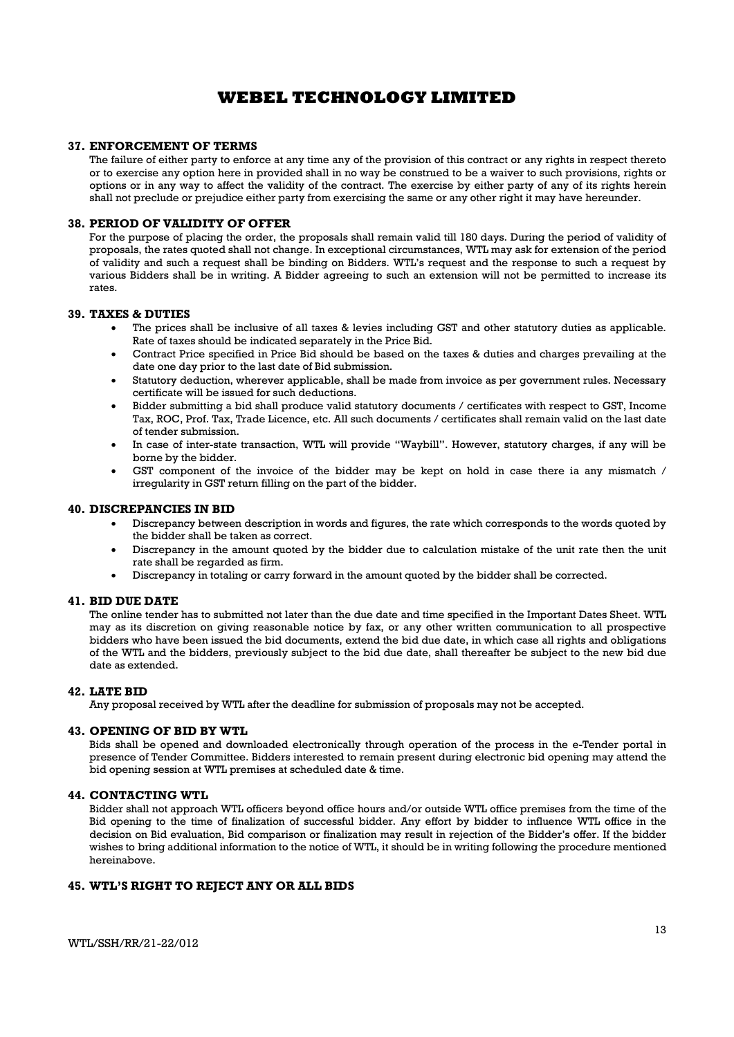#### 37. ENFORCEMENT OF TERMS

The failure of either party to enforce at any time any of the provision of this contract or any rights in respect thereto or to exercise any option here in provided shall in no way be construed to be a waiver to such provisions, rights or options or in any way to affect the validity of the contract. The exercise by either party of any of its rights herein shall not preclude or prejudice either party from exercising the same or any other right it may have hereunder.

#### 38. PERIOD OF VALIDITY OF OFFER

For the purpose of placing the order, the proposals shall remain valid till 180 days. During the period of validity of proposals, the rates quoted shall not change. In exceptional circumstances, WTL may ask for extension of the period of validity and such a request shall be binding on Bidders. WTL's request and the response to such a request by various Bidders shall be in writing. A Bidder agreeing to such an extension will not be permitted to increase its rates.

#### 39. TAXES & DUTIES

- The prices shall be inclusive of all taxes & levies including GST and other statutory duties as applicable. Rate of taxes should be indicated separately in the Price Bid.
- Contract Price specified in Price Bid should be based on the taxes & duties and charges prevailing at the date one day prior to the last date of Bid submission.
- Statutory deduction, wherever applicable, shall be made from invoice as per government rules. Necessary certificate will be issued for such deductions.
- Bidder submitting a bid shall produce valid statutory documents / certificates with respect to GST, Income Tax, ROC, Prof. Tax, Trade Licence, etc. All such documents / certificates shall remain valid on the last date of tender submission.
- In case of inter-state transaction, WTL will provide "Waybill". However, statutory charges, if any will be borne by the bidder.
- GST component of the invoice of the bidder may be kept on hold in case there ia any mismatch / irregularity in GST return filling on the part of the bidder.

#### 40. DISCREPANCIES IN BID

- Discrepancy between description in words and figures, the rate which corresponds to the words quoted by the bidder shall be taken as correct.
- Discrepancy in the amount quoted by the bidder due to calculation mistake of the unit rate then the unit rate shall be regarded as firm.
- Discrepancy in totaling or carry forward in the amount quoted by the bidder shall be corrected.

#### 41. BID DUE DATE

The online tender has to submitted not later than the due date and time specified in the Important Dates Sheet. WTL may as its discretion on giving reasonable notice by fax, or any other written communication to all prospective bidders who have been issued the bid documents, extend the bid due date, in which case all rights and obligations of the WTL and the bidders, previously subject to the bid due date, shall thereafter be subject to the new bid due date as extended.

#### 42. LATE BID

Any proposal received by WTL after the deadline for submission of proposals may not be accepted.

#### 43. OPENING OF BID BY WTL

Bids shall be opened and downloaded electronically through operation of the process in the e-Tender portal in presence of Tender Committee. Bidders interested to remain present during electronic bid opening may attend the bid opening session at WTL premises at scheduled date & time.

#### 44. CONTACTING WTL

Bidder shall not approach WTL officers beyond office hours and/or outside WTL office premises from the time of the Bid opening to the time of finalization of successful bidder. Any effort by bidder to influence WTL office in the decision on Bid evaluation, Bid comparison or finalization may result in rejection of the Bidder's offer. If the bidder wishes to bring additional information to the notice of WTL, it should be in writing following the procedure mentioned hereinabove.

#### 45. WTL'S RIGHT TO REJECT ANY OR ALL BIDS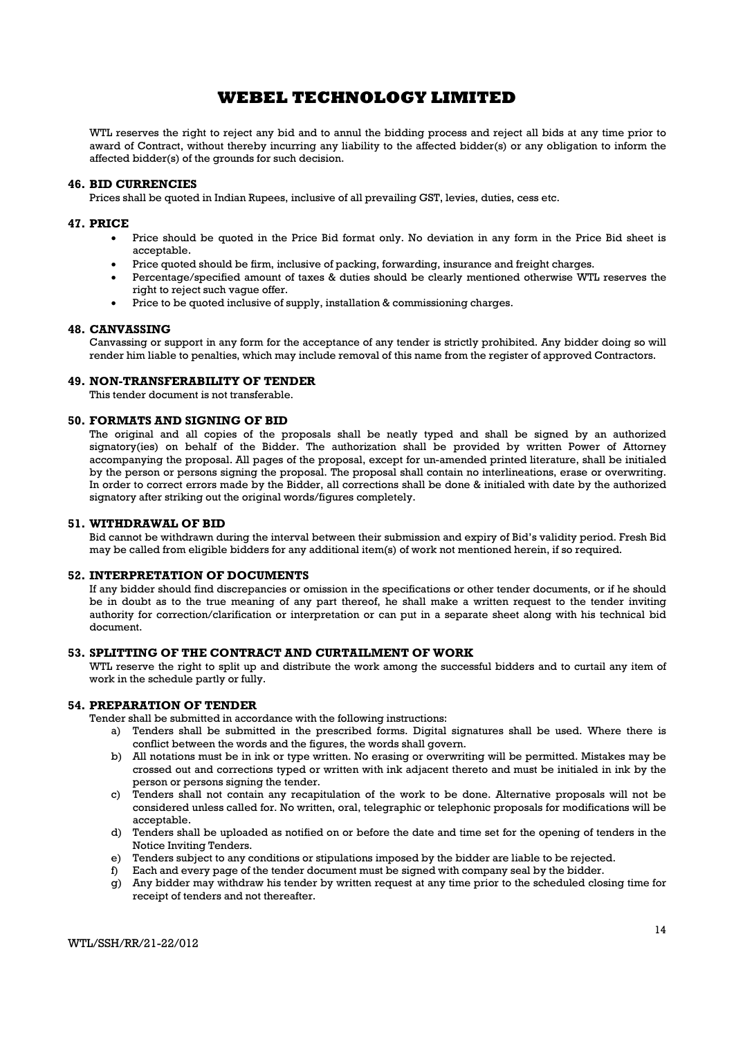WTL reserves the right to reject any bid and to annul the bidding process and reject all bids at any time prior to award of Contract, without thereby incurring any liability to the affected bidder(s) or any obligation to inform the affected bidder(s) of the grounds for such decision.

#### 46. BID CURRENCIES

Prices shall be quoted in Indian Rupees, inclusive of all prevailing GST, levies, duties, cess etc.

#### 47. PRICE

- Price should be quoted in the Price Bid format only. No deviation in any form in the Price Bid sheet is acceptable.
- Price quoted should be firm, inclusive of packing, forwarding, insurance and freight charges.
- Percentage/specified amount of taxes & duties should be clearly mentioned otherwise WTL reserves the right to reject such vague offer.
- Price to be quoted inclusive of supply, installation & commissioning charges.

#### 48. CANVASSING

Canvassing or support in any form for the acceptance of any tender is strictly prohibited. Any bidder doing so will render him liable to penalties, which may include removal of this name from the register of approved Contractors.

#### 49. NON-TRANSFERABILITY OF TENDER

This tender document is not transferable.

#### 50. FORMATS AND SIGNING OF BID

The original and all copies of the proposals shall be neatly typed and shall be signed by an authorized signatory(ies) on behalf of the Bidder. The authorization shall be provided by written Power of Attorney accompanying the proposal. All pages of the proposal, except for un-amended printed literature, shall be initialed by the person or persons signing the proposal. The proposal shall contain no interlineations, erase or overwriting. In order to correct errors made by the Bidder, all corrections shall be done & initialed with date by the authorized signatory after striking out the original words/figures completely.

#### 51. WITHDRAWAL OF BID

Bid cannot be withdrawn during the interval between their submission and expiry of Bid's validity period. Fresh Bid may be called from eligible bidders for any additional item(s) of work not mentioned herein, if so required.

#### 52. INTERPRETATION OF DOCUMENTS

If any bidder should find discrepancies or omission in the specifications or other tender documents, or if he should be in doubt as to the true meaning of any part thereof, he shall make a written request to the tender inviting authority for correction/clarification or interpretation or can put in a separate sheet along with his technical bid document.

#### 53. SPLITTING OF THE CONTRACT AND CURTAILMENT OF WORK

WTL reserve the right to split up and distribute the work among the successful bidders and to curtail any item of work in the schedule partly or fully.

#### 54. PREPARATION OF TENDER

Tender shall be submitted in accordance with the following instructions:

- a) Tenders shall be submitted in the prescribed forms. Digital signatures shall be used. Where there is conflict between the words and the figures, the words shall govern.
- b) All notations must be in ink or type written. No erasing or overwriting will be permitted. Mistakes may be crossed out and corrections typed or written with ink adjacent thereto and must be initialed in ink by the person or persons signing the tender.
- c) Tenders shall not contain any recapitulation of the work to be done. Alternative proposals will not be considered unless called for. No written, oral, telegraphic or telephonic proposals for modifications will be acceptable.
- d) Tenders shall be uploaded as notified on or before the date and time set for the opening of tenders in the Notice Inviting Tenders.
- e) Tenders subject to any conditions or stipulations imposed by the bidder are liable to be rejected.
- f) Each and every page of the tender document must be signed with company seal by the bidder.
- g) Any bidder may withdraw his tender by written request at any time prior to the scheduled closing time for receipt of tenders and not thereafter.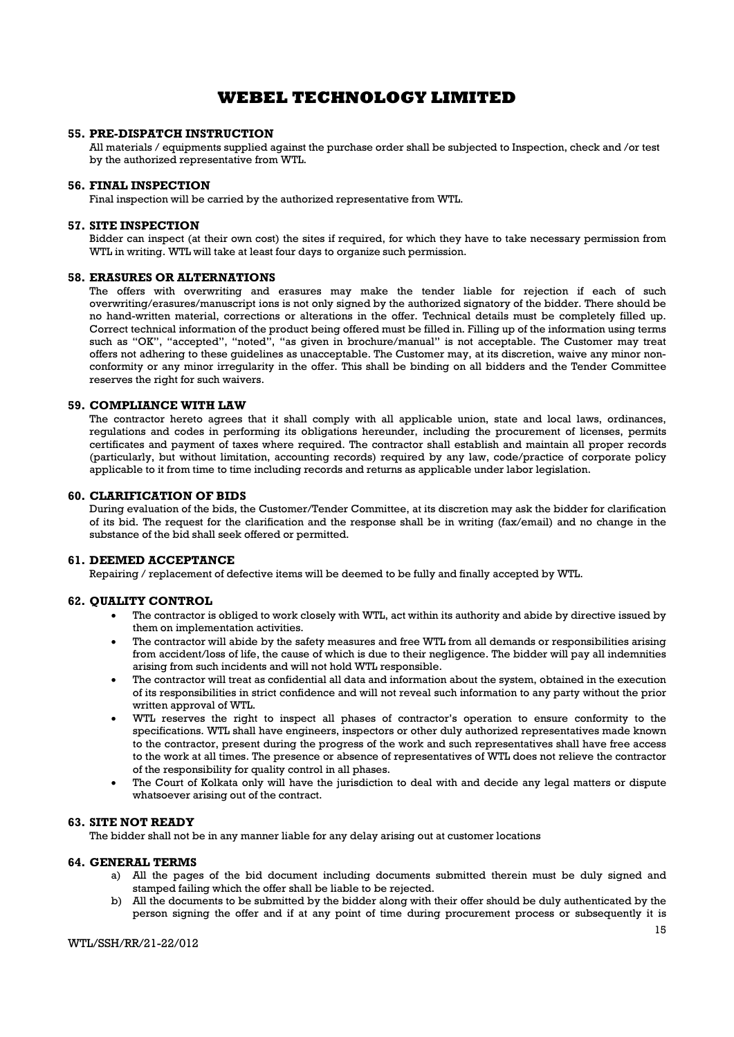### 55. PRE-DISPATCH INSTRUCTION

All materials / equipments supplied against the purchase order shall be subjected to Inspection, check and /or test by the authorized representative from WTL.

#### 56. FINAL INSPECTION

Final inspection will be carried by the authorized representative from WTL.

#### 57. SITE INSPECTION

Bidder can inspect (at their own cost) the sites if required, for which they have to take necessary permission from WTL in writing. WTL will take at least four days to organize such permission.

#### 58. ERASURES OR ALTERNATIONS

The offers with overwriting and erasures may make the tender liable for rejection if each of such overwriting/erasures/manuscript ions is not only signed by the authorized signatory of the bidder. There should be no hand-written material, corrections or alterations in the offer. Technical details must be completely filled up. Correct technical information of the product being offered must be filled in. Filling up of the information using terms such as "OK", "accepted", "noted", "as given in brochure/manual" is not acceptable. The Customer may treat offers not adhering to these guidelines as unacceptable. The Customer may, at its discretion, waive any minor nonconformity or any minor irregularity in the offer. This shall be binding on all bidders and the Tender Committee reserves the right for such waivers.

#### 59. COMPLIANCE WITH LAW

The contractor hereto agrees that it shall comply with all applicable union, state and local laws, ordinances, regulations and codes in performing its obligations hereunder, including the procurement of licenses, permits certificates and payment of taxes where required. The contractor shall establish and maintain all proper records (particularly, but without limitation, accounting records) required by any law, code/practice of corporate policy applicable to it from time to time including records and returns as applicable under labor legislation.

#### 60. CLARIFICATION OF BIDS

During evaluation of the bids, the Customer/Tender Committee, at its discretion may ask the bidder for clarification of its bid. The request for the clarification and the response shall be in writing (fax/email) and no change in the substance of the bid shall seek offered or permitted.

#### 61. DEEMED ACCEPTANCE

Repairing / replacement of defective items will be deemed to be fully and finally accepted by WTL.

#### 62. QUALITY CONTROL

- The contractor is obliged to work closely with WTL, act within its authority and abide by directive issued by them on implementation activities.
- The contractor will abide by the safety measures and free WTL from all demands or responsibilities arising from accident/loss of life, the cause of which is due to their negligence. The bidder will pay all indemnities arising from such incidents and will not hold WTL responsible.
- The contractor will treat as confidential all data and information about the system, obtained in the execution of its responsibilities in strict confidence and will not reveal such information to any party without the prior written approval of WTL.
- WTL reserves the right to inspect all phases of contractor's operation to ensure conformity to the specifications. WTL shall have engineers, inspectors or other duly authorized representatives made known to the contractor, present during the progress of the work and such representatives shall have free access to the work at all times. The presence or absence of representatives of WTL does not relieve the contractor of the responsibility for quality control in all phases.
- The Court of Kolkata only will have the jurisdiction to deal with and decide any legal matters or dispute whatsoever arising out of the contract.

#### 63. SITE NOT READY

The bidder shall not be in any manner liable for any delay arising out at customer locations

#### 64. GENERAL TERMS

- a) All the pages of the bid document including documents submitted therein must be duly signed and stamped failing which the offer shall be liable to be rejected.
- b) All the documents to be submitted by the bidder along with their offer should be duly authenticated by the person signing the offer and if at any point of time during procurement process or subsequently it is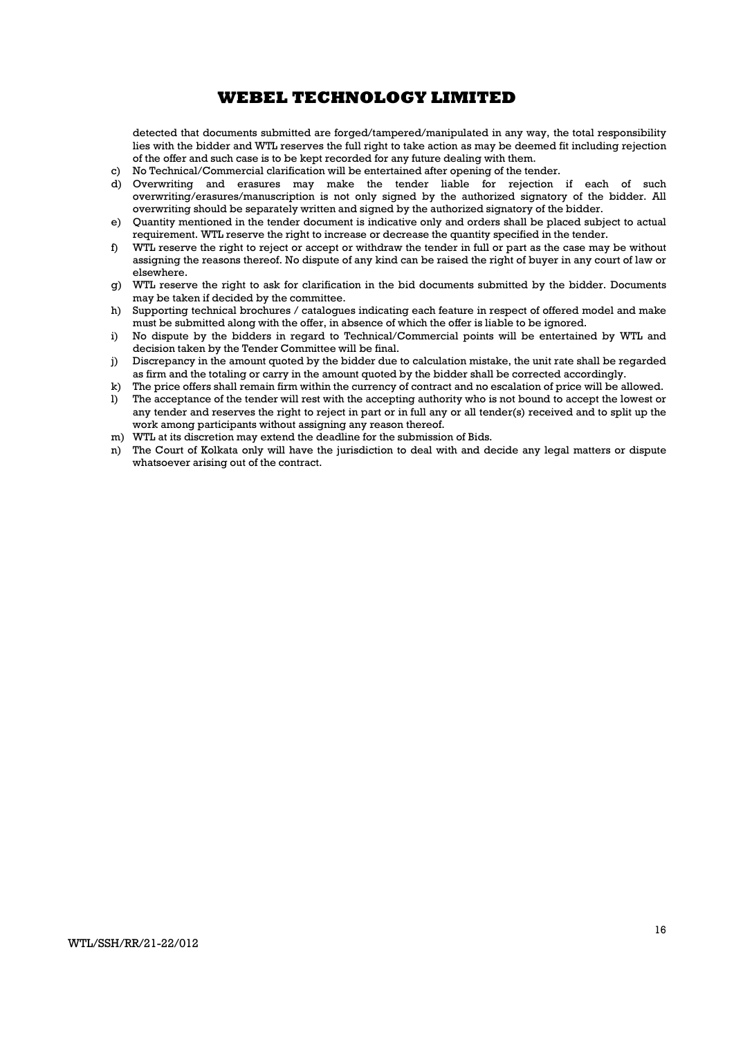detected that documents submitted are forged/tampered/manipulated in any way, the total responsibility lies with the bidder and WTL reserves the full right to take action as may be deemed fit including rejection of the offer and such case is to be kept recorded for any future dealing with them.

- c) No Technical/Commercial clarification will be entertained after opening of the tender.
- d) Overwriting and erasures may make the tender liable for rejection if each of such overwriting/erasures/manuscription is not only signed by the authorized signatory of the bidder. All overwriting should be separately written and signed by the authorized signatory of the bidder.
- e) Quantity mentioned in the tender document is indicative only and orders shall be placed subject to actual requirement. WTL reserve the right to increase or decrease the quantity specified in the tender.
- f) WTL reserve the right to reject or accept or withdraw the tender in full or part as the case may be without assigning the reasons thereof. No dispute of any kind can be raised the right of buyer in any court of law or elsewhere.
- g) WTL reserve the right to ask for clarification in the bid documents submitted by the bidder. Documents may be taken if decided by the committee.
- h) Supporting technical brochures / catalogues indicating each feature in respect of offered model and make must be submitted along with the offer, in absence of which the offer is liable to be ignored.
- i) No dispute by the bidders in regard to Technical/Commercial points will be entertained by WTL and decision taken by the Tender Committee will be final.
- j) Discrepancy in the amount quoted by the bidder due to calculation mistake, the unit rate shall be regarded as firm and the totaling or carry in the amount quoted by the bidder shall be corrected accordingly.
- k) The price offers shall remain firm within the currency of contract and no escalation of price will be allowed.<br>I) The acceptance of the tender will rest with the accepting authority who is not bound to accept the lowes
- The acceptance of the tender will rest with the accepting authority who is not bound to accept the lowest or any tender and reserves the right to reject in part or in full any or all tender(s) received and to split up the work among participants without assigning any reason thereof.
- m) WTL at its discretion may extend the deadline for the submission of Bids.
- n) The Court of Kolkata only will have the jurisdiction to deal with and decide any legal matters or dispute whatsoever arising out of the contract.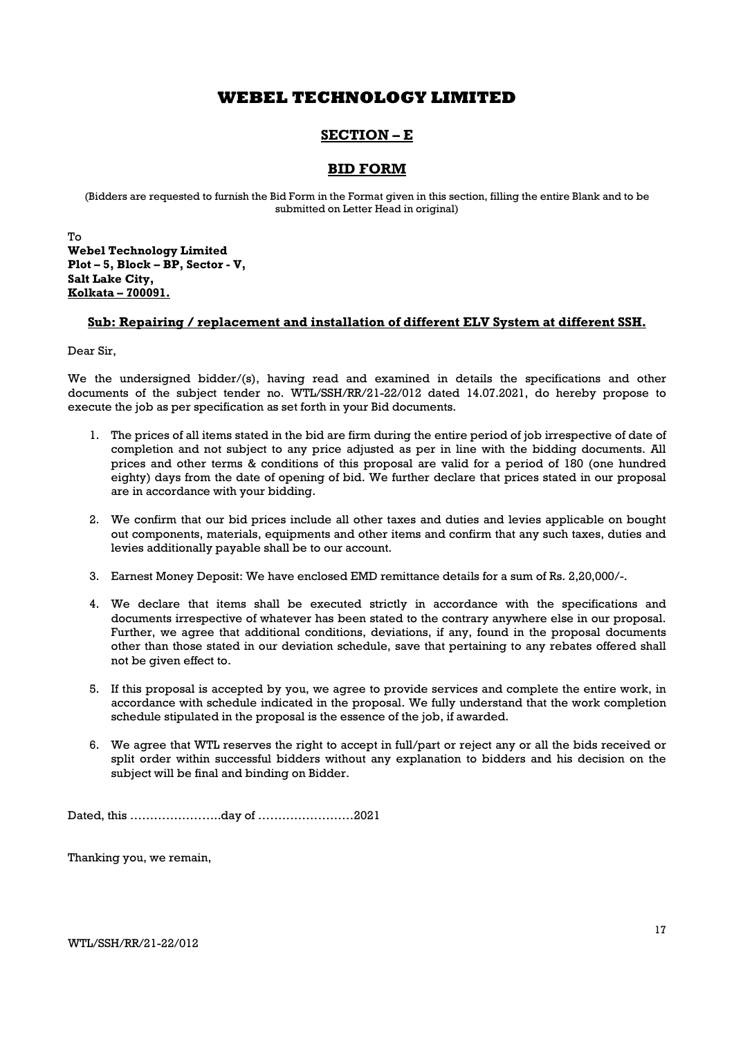## SECTION – E

### BID FORM

(Bidders are requested to furnish the Bid Form in the Format given in this section, filling the entire Blank and to be submitted on Letter Head in original)

To Webel Technology Limited Plot – 5, Block – BP, Sector - V, Salt Lake City, Kolkata – 700091.

### Sub: Repairing / replacement and installation of different ELV System at different SSH.

Dear Sir,

We the undersigned bidder/(s), having read and examined in details the specifications and other documents of the subject tender no. WTL/SSH/RR/21-22/012 dated 14.07.2021, do hereby propose to execute the job as per specification as set forth in your Bid documents.

- 1. The prices of all items stated in the bid are firm during the entire period of job irrespective of date of completion and not subject to any price adjusted as per in line with the bidding documents. All prices and other terms & conditions of this proposal are valid for a period of 180 (one hundred eighty) days from the date of opening of bid. We further declare that prices stated in our proposal are in accordance with your bidding.
- 2. We confirm that our bid prices include all other taxes and duties and levies applicable on bought out components, materials, equipments and other items and confirm that any such taxes, duties and levies additionally payable shall be to our account.
- 3. Earnest Money Deposit: We have enclosed EMD remittance details for a sum of Rs. 2,20,000/-.
- 4. We declare that items shall be executed strictly in accordance with the specifications and documents irrespective of whatever has been stated to the contrary anywhere else in our proposal. Further, we agree that additional conditions, deviations, if any, found in the proposal documents other than those stated in our deviation schedule, save that pertaining to any rebates offered shall not be given effect to.
- 5. If this proposal is accepted by you, we agree to provide services and complete the entire work, in accordance with schedule indicated in the proposal. We fully understand that the work completion schedule stipulated in the proposal is the essence of the job, if awarded.
- 6. We agree that WTL reserves the right to accept in full/part or reject any or all the bids received or split order within successful bidders without any explanation to bidders and his decision on the subject will be final and binding on Bidder.

Dated, this …………………..day of ……………………2021

Thanking you, we remain,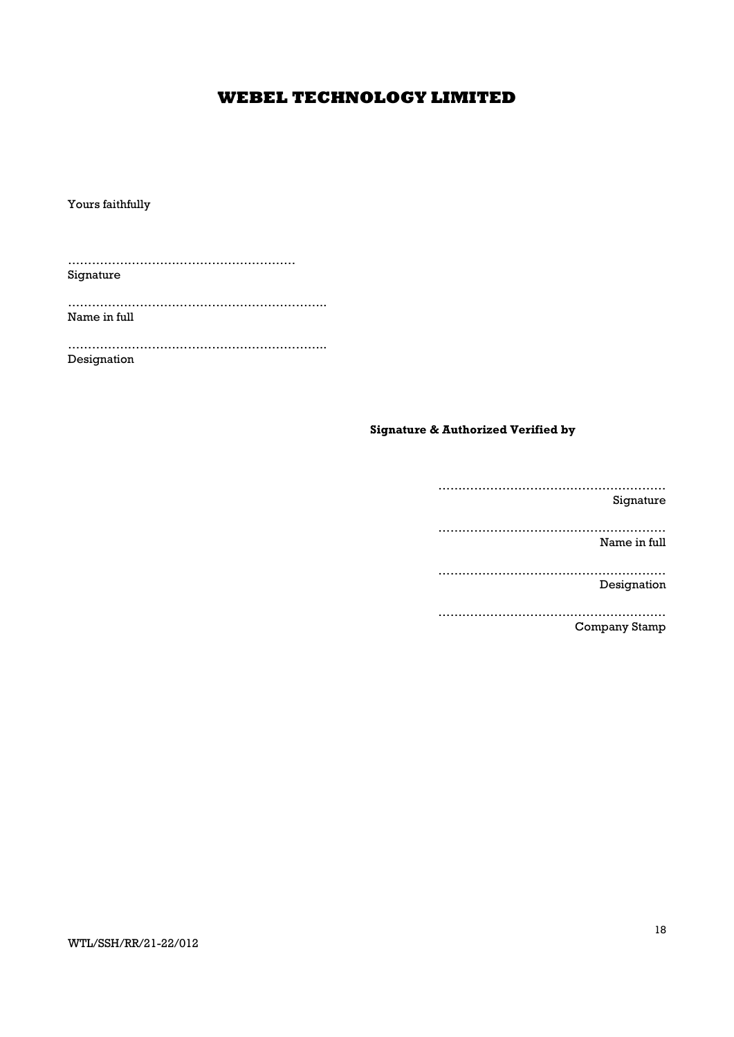Yours faithfully

………………………………………………… Signature

……………………………………………………….. Name in full

……………………………………………………….. Designation

### Signature & Authorized Verified by

………………………………………………… Signature ………………………………………………… Name in full ………………………………………………… Designation ………………………………………………… Company Stamp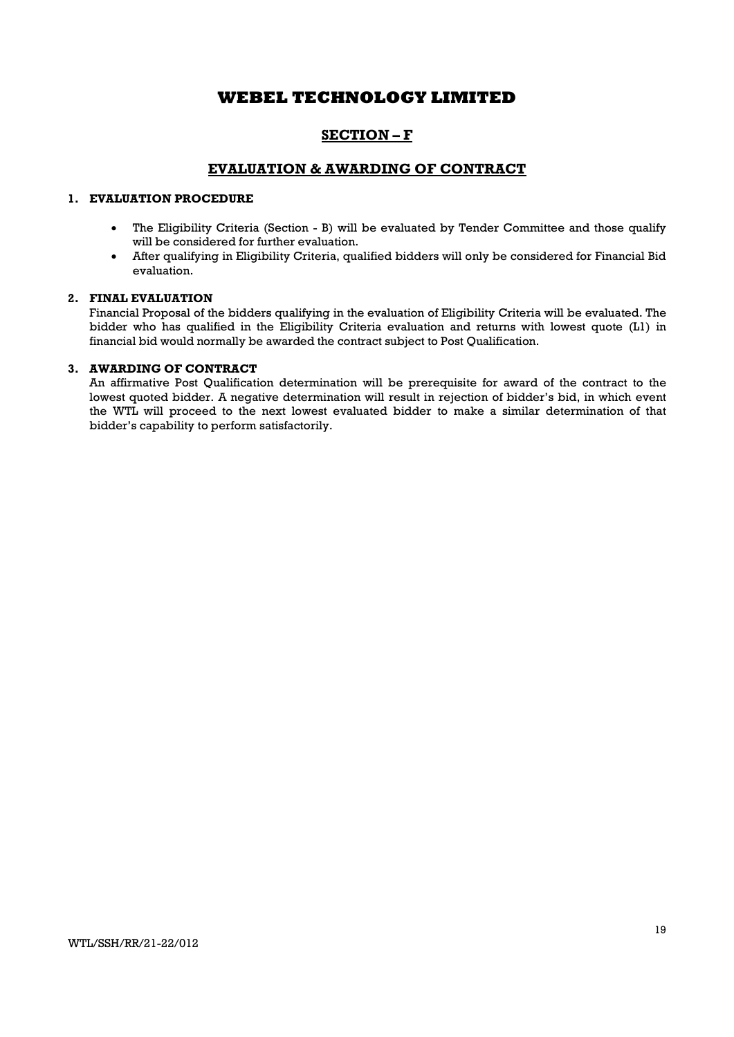## SECTION – F

### EVALUATION & AWARDING OF CONTRACT

### 1. EVALUATION PROCEDURE

- The Eligibility Criteria (Section B) will be evaluated by Tender Committee and those qualify will be considered for further evaluation.
- After qualifying in Eligibility Criteria, qualified bidders will only be considered for Financial Bid evaluation.

#### 2. FINAL EVALUATION

Financial Proposal of the bidders qualifying in the evaluation of Eligibility Criteria will be evaluated. The bidder who has qualified in the Eligibility Criteria evaluation and returns with lowest quote (L1) in financial bid would normally be awarded the contract subject to Post Qualification.

### 3. AWARDING OF CONTRACT

An affirmative Post Qualification determination will be prerequisite for award of the contract to the lowest quoted bidder. A negative determination will result in rejection of bidder's bid, in which event the WTL will proceed to the next lowest evaluated bidder to make a similar determination of that bidder's capability to perform satisfactorily.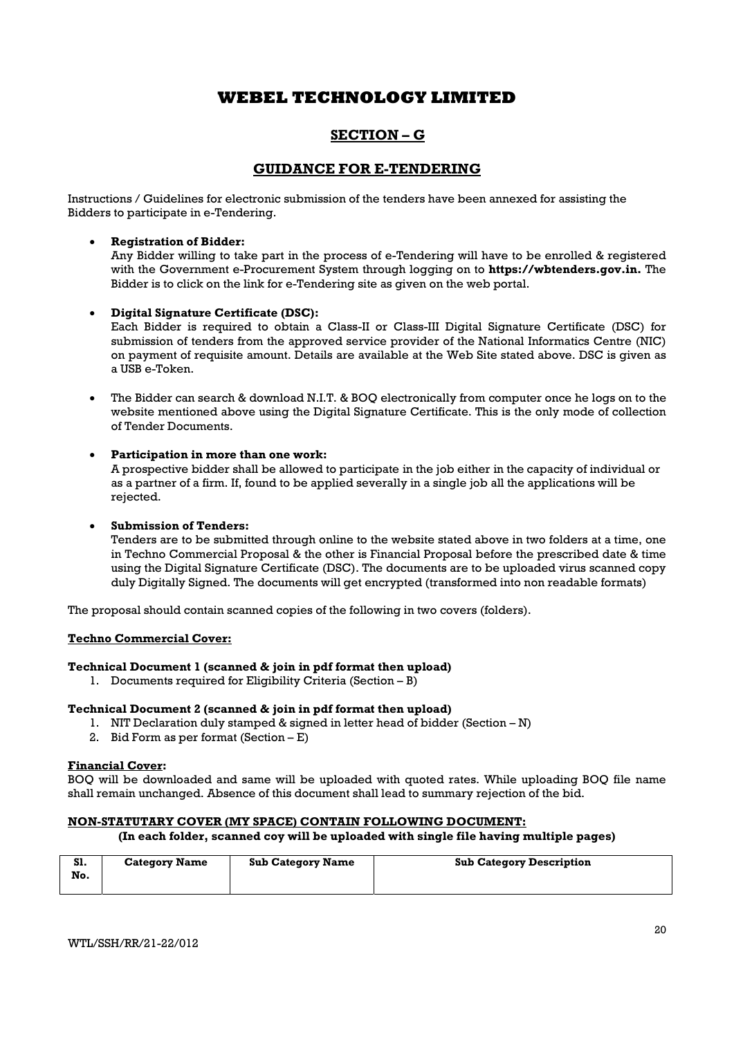## SECTION – G

### GUIDANCE FOR E-TENDERING

Instructions / Guidelines for electronic submission of the tenders have been annexed for assisting the Bidders to participate in e-Tendering.

### Registration of Bidder:

Any Bidder willing to take part in the process of e-Tendering will have to be enrolled & registered with the Government e-Procurement System through logging on to **https://wbtenders.gov.in.** The Bidder is to click on the link for e-Tendering site as given on the web portal.

### Digital Signature Certificate (DSC):

Each Bidder is required to obtain a Class-II or Class-III Digital Signature Certificate (DSC) for submission of tenders from the approved service provider of the National Informatics Centre (NIC) on payment of requisite amount. Details are available at the Web Site stated above. DSC is given as a USB e-Token.

 The Bidder can search & download N.I.T. & BOQ electronically from computer once he logs on to the website mentioned above using the Digital Signature Certificate. This is the only mode of collection of Tender Documents.

### Participation in more than one work:

A prospective bidder shall be allowed to participate in the job either in the capacity of individual or as a partner of a firm. If, found to be applied severally in a single job all the applications will be rejected.

### Submission of Tenders:

Tenders are to be submitted through online to the website stated above in two folders at a time, one in Techno Commercial Proposal & the other is Financial Proposal before the prescribed date & time using the Digital Signature Certificate (DSC). The documents are to be uploaded virus scanned copy duly Digitally Signed. The documents will get encrypted (transformed into non readable formats)

The proposal should contain scanned copies of the following in two covers (folders).

### Techno Commercial Cover:

### Technical Document 1 (scanned & join in pdf format then upload)

1. Documents required for Eligibility Criteria (Section – B)

### Technical Document 2 (scanned & join in pdf format then upload)

- 1. NIT Declaration duly stamped & signed in letter head of bidder (Section N)
- 2. Bid Form as per format (Section  $E$ )

### Financial Cover:

BOQ will be downloaded and same will be uploaded with quoted rates. While uploading BOQ file name shall remain unchanged. Absence of this document shall lead to summary rejection of the bid.

### NON-STATUTARY COVER (MY SPACE) CONTAIN FOLLOWING DOCUMENT:

### (In each folder, scanned coy will be uploaded with single file having multiple pages)

| S1.<br>No. | <b>Category Name</b> | <b>Sub Category Name</b> | <b>Sub Category Description</b> |
|------------|----------------------|--------------------------|---------------------------------|
|------------|----------------------|--------------------------|---------------------------------|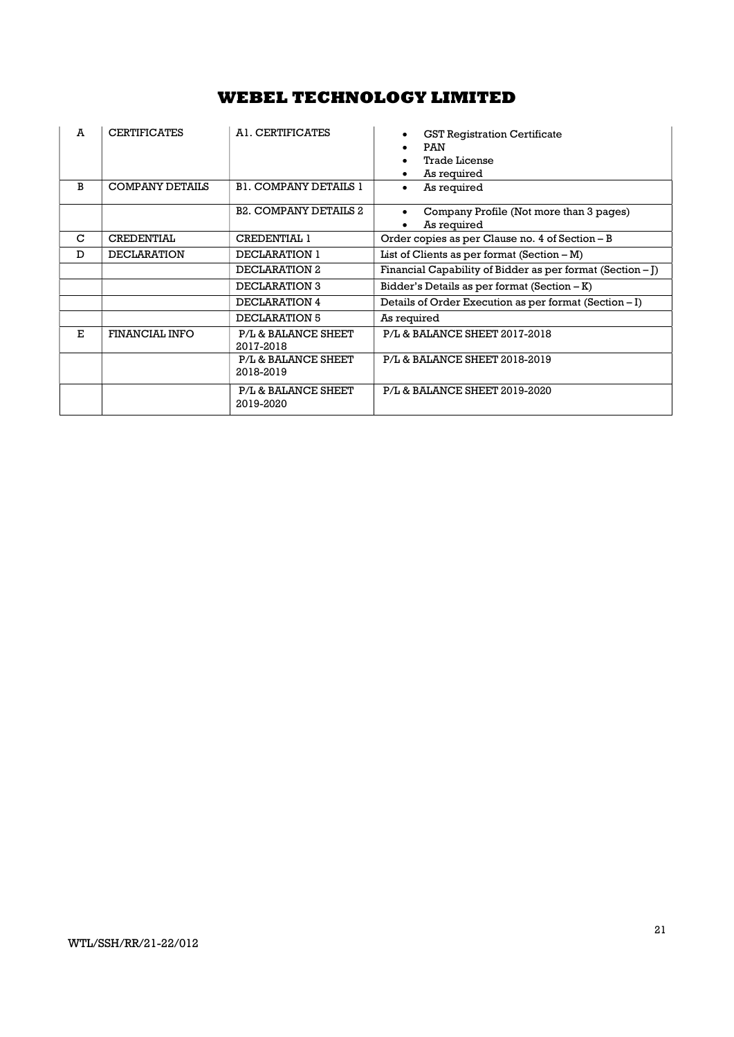| A  | <b>CERTIFICATES</b>    | A1. CERTIFICATES                 | <b>GST Registration Certificate</b><br><b>PAN</b><br>Trade License<br>As required |
|----|------------------------|----------------------------------|-----------------------------------------------------------------------------------|
| B  | <b>COMPANY DETAILS</b> | <b>B1. COMPANY DETAILS 1</b>     | As required                                                                       |
|    |                        | <b>B2. COMPANY DETAILS 2</b>     | Company Profile (Not more than 3 pages)<br>As required                            |
| C  | <b>CREDENTIAL</b>      | <b>CREDENTIAL 1</b>              | Order copies as per Clause no. 4 of Section – B                                   |
| D  | <b>DECLARATION</b>     | DECLARATION 1                    | List of Clients as per format $(Section - M)$                                     |
|    |                        | DECLARATION 2                    | Financial Capability of Bidder as per format (Section $-I$ )                      |
|    |                        | <b>DECLARATION 3</b>             | Bidder's Details as per format $(Section - K)$                                    |
|    |                        | DECLARATION 4                    | Details of Order Execution as per format (Section – I)                            |
|    |                        | DECLARATION 5                    | As required                                                                       |
| E. | FINANCIAL INFO         | P/L & BALANCE SHEET<br>2017-2018 | P/L & BALANCE SHEET 2017-2018                                                     |
|    |                        | P/L & BALANCE SHEET<br>2018-2019 | P/L & BALANCE SHEET 2018-2019                                                     |
|    |                        | P/L & BALANCE SHEET<br>2019-2020 | P/L & BALANCE SHEET 2019-2020                                                     |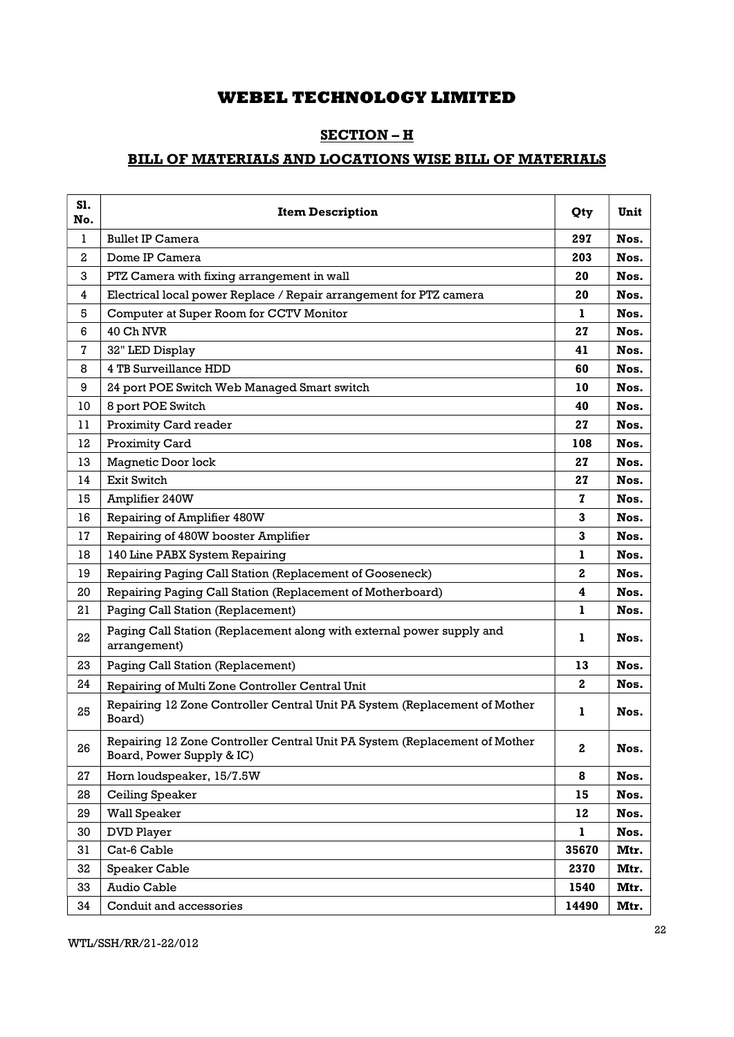## SECTION – H

## BILL OF MATERIALS AND LOCATIONS WISE BILL OF MATERIALS

| S1.<br>No.   | <b>Item Description</b>                                                                                 | Qty          | Unit |
|--------------|---------------------------------------------------------------------------------------------------------|--------------|------|
| $\mathbf{1}$ | <b>Bullet IP Camera</b>                                                                                 | 297          | Nos. |
| 2            | Dome IP Camera                                                                                          | 203          | Nos. |
| 3            | PTZ Camera with fixing arrangement in wall                                                              | 20           | Nos. |
| 4            | Electrical local power Replace / Repair arrangement for PTZ camera                                      | 20           | Nos. |
| 5            | Computer at Super Room for CCTV Monitor                                                                 | 1            | Nos. |
| 6            | 40 Ch NVR                                                                                               | 27           | Nos. |
| 7            | 32" LED Display                                                                                         | 41           | Nos. |
| 8            | 4 TB Surveillance HDD                                                                                   | 60           | Nos. |
| 9            | 24 port POE Switch Web Managed Smart switch                                                             | 10           | Nos. |
| 10           | 8 port POE Switch                                                                                       | 40           | Nos. |
| 11           | Proximity Card reader                                                                                   | 27           | Nos. |
| 12           | Proximity Card                                                                                          | 108          | Nos. |
| 13           | Magnetic Door lock                                                                                      | 27           | Nos. |
| 14           | <b>Exit Switch</b>                                                                                      | 27           | Nos. |
| 15           | Amplifier 240W                                                                                          | 7            | Nos. |
| 16           | Repairing of Amplifier 480W                                                                             | 3            | Nos. |
| 17           | Repairing of 480W booster Amplifier                                                                     | 3            | Nos. |
| 18           | 140 Line PABX System Repairing                                                                          | $\mathbf{1}$ | Nos. |
| 19           | Repairing Paging Call Station (Replacement of Gooseneck)                                                | $\mathbf{2}$ | Nos. |
| 20           | Repairing Paging Call Station (Replacement of Motherboard)                                              | 4            | Nos. |
| 21           | Paging Call Station (Replacement)                                                                       | 1            | Nos. |
| 22           | Paging Call Station (Replacement along with external power supply and<br>arrangement)                   | 1            | Nos. |
| 23           | Paging Call Station (Replacement)                                                                       | 13           | Nos. |
| 24           | Repairing of Multi Zone Controller Central Unit                                                         | 2            | Nos. |
| 25           | Repairing 12 Zone Controller Central Unit PA System (Replacement of Mother<br>Board)                    | 1            | Nos. |
| 26           | Repairing 12 Zone Controller Central Unit PA System (Replacement of Mother<br>Board, Power Supply & IC) | $\bf{2}$     | Nos. |
| 27           | Horn loudspeaker, 15/7.5W                                                                               | 8            | Nos. |
| 28           | Ceiling Speaker                                                                                         | 15           | Nos. |
| 29           | Wall Speaker                                                                                            | 12           | Nos. |
| 30           | <b>DVD Player</b>                                                                                       | 1            | Nos. |
| 31           | Cat-6 Cable                                                                                             | 35670        | Mtr. |
| 32           | Speaker Cable                                                                                           | 2370         | Mtr. |
| 33           | Audio Cable                                                                                             | 1540         | Mtr. |
| 34           | Conduit and accessories                                                                                 | 14490        | Mtr. |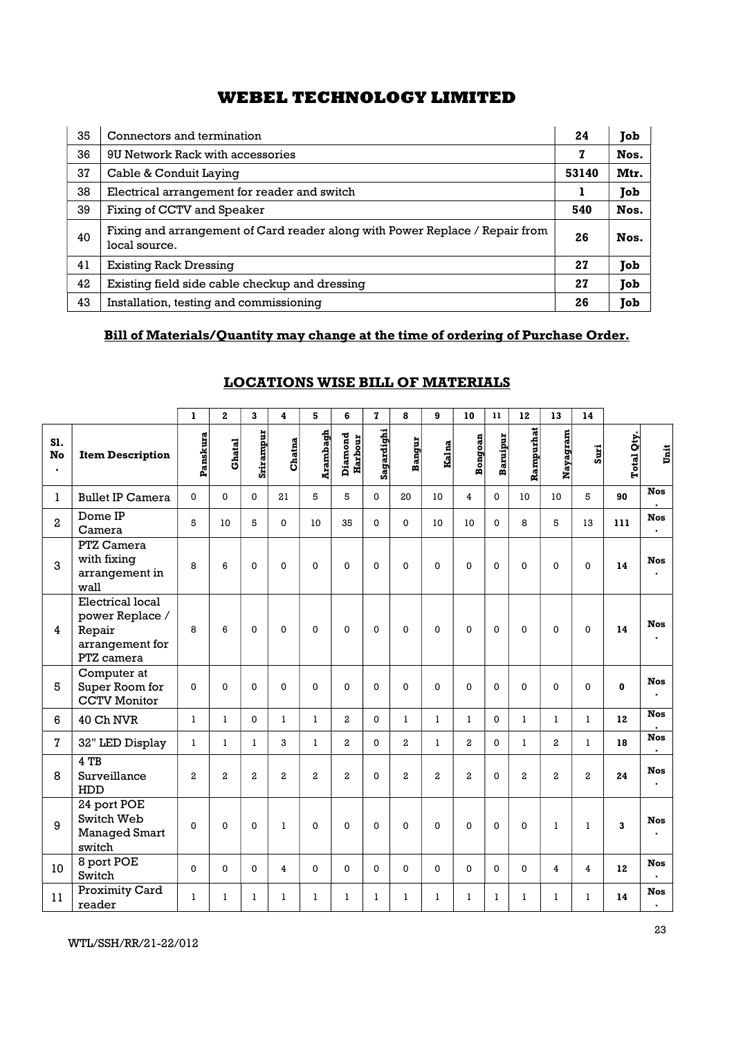| 35 | Connectors and termination                                                                    | 24    | Job  |
|----|-----------------------------------------------------------------------------------------------|-------|------|
| 36 | 9U Network Rack with accessories                                                              | 7     | Nos. |
| 37 | Cable & Conduit Laying                                                                        | 53140 | Mtr. |
| 38 | Electrical arrangement for reader and switch                                                  | ı     | Job  |
| 39 | Fixing of CCTV and Speaker                                                                    | 540   | Nos. |
| 40 | Fixing and arrangement of Card reader along with Power Replace / Repair from<br>local source. | 26    | Nos. |
| 41 | <b>Existing Rack Dressing</b>                                                                 | 27    | Job  |
| 42 | Existing field side cable checkup and dressing                                                | 27    | Job  |
| 43 | Installation, testing and commissioning                                                       | 26    | Job  |

## Bill of Materials/Quantity may change at the time of ordering of Purchase Order.

|                     |                                                                                | 1                | $\mathbf{2}$   | $\mathbf{3}$     | 4              | 5                | 6                  | $\mathbf{z}$ | 8                | 9               | 10             | $\mathbf{11}$ | 12             | 13             | 14             |              |                                        |  |
|---------------------|--------------------------------------------------------------------------------|------------------|----------------|------------------|----------------|------------------|--------------------|--------------|------------------|-----------------|----------------|---------------|----------------|----------------|----------------|--------------|----------------------------------------|--|
| S1.<br>No<br>$\sim$ | <b>Item Description</b>                                                        | Panskura         | Ghatal         | Srirampur        | Chatna         | Arambagh         | Diamond<br>Harbour | Sagardighi   | Bangur           | Kalna           | <b>Bongoan</b> | Baruipur      | ampurhat<br>≃  | Nayagram       | Suri           | Total Qty.   | <b>Unit</b>                            |  |
| 1                   | <b>Bullet IP Camera</b>                                                        | $\mathbf{0}$     | $\Omega$       | $\mathbf 0$      | 21             | 5                | 5                  | $\mathbf 0$  | 20               | 10 <sup>°</sup> | $\overline{4}$ | $\mathbf 0$   | 10             | 10             | 5              | 90           | <b>Nos</b><br>$\overline{\phantom{a}}$ |  |
| $\mathbf{2}$        | Dome IP<br>Camera                                                              | 5                | 10             | 5                | $\mathbf{0}$   | 10 <sup>°</sup>  | 35                 | $\mathbf{0}$ | $\mathbf{0}$     | 10              | 10             | $\mathbf{0}$  | 8              | 5              | 13             | 111          | <b>Nos</b><br>$\mathbf{r}$             |  |
| 3                   | PTZ Camera<br>with fixing<br>arrangement in<br>wall                            | 8                | 6              | $\mathbf 0$      | $\mathbf 0$    | $\mathbf 0$      | $\mathbf 0$        | $\mathbf 0$  | $\mathbf 0$      | $\mathbf 0$     | $\mathbf 0$    | $\mathbf 0$   | $\mathbf 0$    | $\mathbf 0$    | $\mathbf 0$    | 14           | <b>Nos</b><br>$\bullet$                |  |
| $\overline{4}$      | Electrical local<br>power Replace /<br>Repair<br>arrangement for<br>PTZ camera | 8                | 6              | $\Omega$         | $\mathbf 0$    | 0                | $\mathbf 0$        | $\mathbf 0$  | $\mathbf 0$      | $\mathbf 0$     | $\mathbf 0$    | $\mathsf 0$   | $\mathbf 0$    | $\mathbf 0$    | $\mathbf 0$    | 14           | <b>Nos</b><br>$\blacksquare$           |  |
| 5                   | Computer at<br>Super Room for<br><b>CCTV Monitor</b>                           | $\mathbf 0$      | $\mathbf 0$    | $\mathbf 0$      | $\mathbf 0$    | $\mathbf 0$      | $\mathbf 0$        | $\mathbf 0$  | $\mathbf 0$      | $\mathbf 0$     | $\mathbf 0$    | $\mathbf 0$   | $\mathbf 0$    | $\mathbf 0$    | $\pmb{0}$      | $\mathbf{0}$ | <b>Nos</b><br>$\bullet$                |  |
| 6                   | 40 Ch NVR                                                                      | $\mathbf{1}$     | $\mathbf{1}$   | $\mathbf{0}$     | $\mathbf{1}$   | $\mathbf{1}$     | $\boldsymbol{2}$   | $\mathbf 0$  | $\mathbf{1}$     | $\mathbf{1}$    | -1             | $\mathbf 0$   | $\mathbf{1}$   | -1             | $\mathbf{1}$   | 12           | <b>Nos</b>                             |  |
| $\mathbf{7}$        | 32" LED Display                                                                | $\mathbf{1}$     | 1              | 1                | 3              | $\mathbf{1}$     | $\boldsymbol{2}$   | $\mathbf 0$  | $\overline{a}$   | -1              | $\overline{a}$ | $\mathbf 0$   | -1             | $\overline{a}$ | 1              | 18           | <b>Nos</b><br>$\blacksquare$           |  |
| 8                   | 4 TB<br>Surveillance<br>HDD                                                    | $\boldsymbol{2}$ | $\overline{a}$ | $\boldsymbol{2}$ | $\overline{a}$ | $\boldsymbol{2}$ | $\boldsymbol{2}$   | $\mathbf{0}$ | $\boldsymbol{2}$ | $\overline{a}$  | $\mathbf{2}$   | $\mathbf 0$   | $\overline{a}$ | $\overline{2}$ | $\overline{a}$ | 24           | <b>Nos</b><br>$\mathbf{r}$             |  |
| 9                   | 24 port POE<br>Switch Web<br><b>Managed Smart</b><br>switch                    | $\mathbf{0}$     | $\Omega$       | $\Omega$         | $\mathbf{1}$   | $\Omega$         | $\Omega$           | $\mathbf 0$  | $\Omega$         | $\mathbf{0}$    | $\mathbf{0}$   | $\mathbf 0$   | $\mathbf{0}$   | $\mathbf{1}$   | $\mathbf{1}$   | 3            | <b>Nos</b><br>$\mathbf{r}$             |  |
| 10 <sup>°</sup>     | 8 port POE<br>Switch                                                           | $\mathbf 0$      | $\mathbf 0$    | $\mathbf 0$      | 4              | 0                | $\Omega$           | $\mathbf 0$  | $\mathbf 0$      | $\mathbf{0}$    | $\mathbf 0$    | $\mathbf 0$   | $\mathbf 0$    | 4              | $\overline{4}$ | 12           | <b>Nos</b><br>$\blacksquare$           |  |
| 11                  | Proximity Card<br>reader                                                       | $\mathbf{1}$     | -1             | $\mathbf{1}$     | -1             | 1                | -1                 | $\mathbf{1}$ | 1                | $\mathbf{1}$    | $\mathbf{1}$   | $\mathbf{1}$  | $\mathbf{1}$   | $\overline{1}$ | $\mathbf{1}$   | 14           | <b>Nos</b><br>$\mathbf{r}$             |  |

## LOCATIONS WISE BILL OF MATERIALS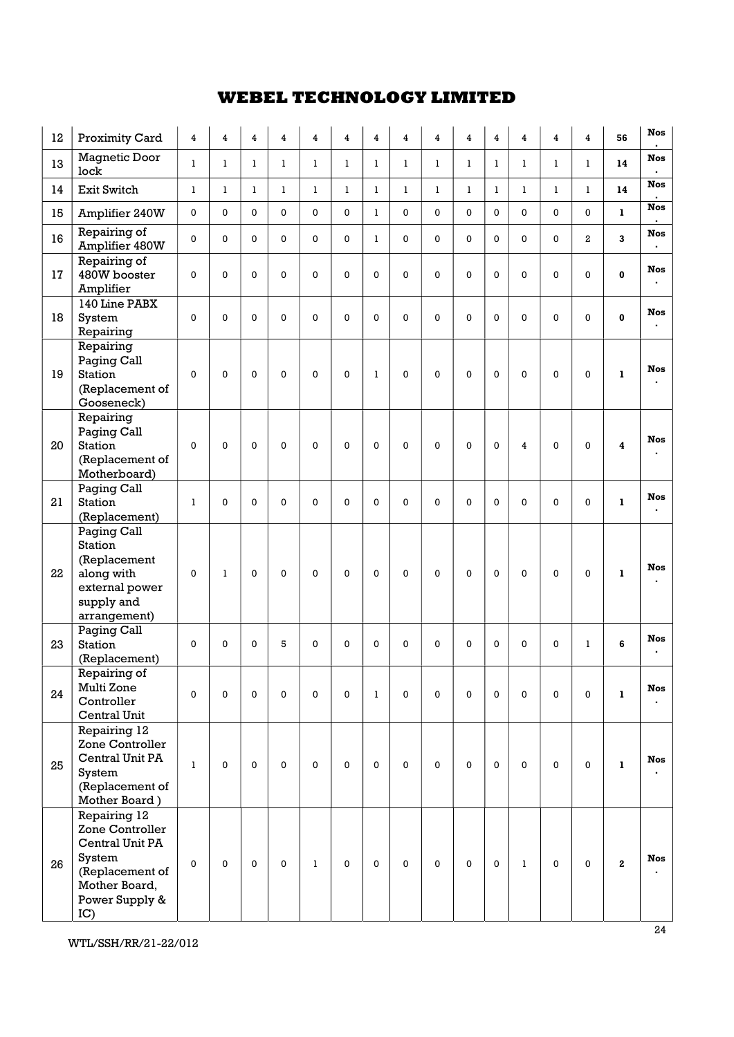| 12 | Proximity Card                                                                                                            | $\overline{\bf 4}$ | 4            | 4            | $\overline{\bf 4}$ | 4            | 4            | 4            | $\overline{4}$ | 4            | 4            | $\overline{\bf 4}$ | 4            | $\overline{4}$ | 4              | 56           | <b>Nos</b>                   |
|----|---------------------------------------------------------------------------------------------------------------------------|--------------------|--------------|--------------|--------------------|--------------|--------------|--------------|----------------|--------------|--------------|--------------------|--------------|----------------|----------------|--------------|------------------------------|
| 13 | Magnetic Door<br>lock                                                                                                     | $\mathbf{1}$       | $\mathbf{1}$ | $\mathbf{1}$ | $\mathbf{1}$       | $\mathbf{1}$ | $\mathbf{1}$ | $\mathbf{1}$ | $\mathbf{1}$   | $\mathbf{1}$ | $\mathbf{1}$ | $\mathbf{1}$       | $\mathbf{1}$ | $\mathbf{1}$   | $\mathbf{1}$   | 14           | <b>Nos</b><br>$\blacksquare$ |
| 14 | Exit Switch                                                                                                               | $\bf{l}$           | $\mathbf{1}$ | $\mathbf{1}$ | $\mathbf{1}$       | $\bf{l}$     | $\mathbf{1}$ | 1            | $\mathbf{1}$   | $\mathbf{1}$ | $\mathbf{1}$ | $\bf{l}$           | $\mathbf{1}$ | $\mathbf{1}$   | $\mathbf{1}$   | 14           | <b>Nos</b>                   |
| 15 | Amplifier 240W                                                                                                            | 0                  | $\Omega$     | $\Omega$     | $\mathbf 0$        | 0            | 0            | 1            | 0              | 0            | 0            | 0                  | 0            | 0              | 0              | $\mathbf{1}$ | <b>Nos</b>                   |
| 16 | Repairing of<br>Amplifier 480W                                                                                            | 0                  | $\mathbf 0$  | $\mathbf 0$  | $\mathbf 0$        | 0            | 0            | 1            | 0              | 0            | 0            | 0                  | $\mathbf 0$  | 0              | $\overline{a}$ | 3            | <b>Nos</b>                   |
| 17 | Repairing of<br>480W booster<br>Amplifier                                                                                 | 0                  | $\Omega$     | $\mathbf 0$  | $\mathbf 0$        | $\mathbf 0$  | 0            | $\mathbf 0$  | 0              | 0            | $\mathbf 0$  | 0                  | 0            | 0              | 0              | $\bf{0}$     | <b>Nos</b>                   |
| 18 | 140 Line PABX<br>System<br>Repairing                                                                                      | 0                  | $\mathbf 0$  | 0            | $\mathbf 0$        | $\mathbf 0$  | 0            | $\Omega$     | 0              | 0            | $\mathbf 0$  | 0                  | $\mathbf 0$  | 0              | $\mathbf 0$    | $\mathbf 0$  | <b>Nos</b>                   |
| 19 | Repairing<br>Paging Call<br><b>Station</b><br>(Replacement of<br>Gooseneck)                                               | $\Omega$           | $\mathbf{0}$ | $\mathbf{0}$ | $\mathbf 0$        | $\mathbf 0$  | 0            | $\mathbf{1}$ | $\mathbf 0$    | 0            | $\mathbf 0$  | 0                  | $\Omega$     | $\mathbf 0$    | $\mathbf 0$    | $\mathbf{1}$ | <b>Nos</b>                   |
| 20 | Repairing<br>Paging Call<br><b>Station</b><br>(Replacement of<br>Motherboard)                                             | $\Omega$           | $\mathbf 0$  | $\mathbf 0$  | $\mathbf 0$        | $\mathbf 0$  | 0            | $\Omega$     | $\mathbf 0$    | 0            | $\mathbf 0$  | 0                  | 4            | $\mathbf 0$    | $\mathbf 0$    | 4            | <b>Nos</b>                   |
| 21 | Paging Call<br><b>Station</b><br>(Replacement)                                                                            | $\mathbf{1}$       | $\Omega$     | $\Omega$     | $\Omega$           | $\mathbf 0$  | 0            | $\Omega$     | $\mathbf{0}$   | 0            | $\Omega$     | 0                  | $\Omega$     | 0              | $\Omega$       | 1            | <b>Nos</b>                   |
| 22 | Paging Call<br><b>Station</b><br>(Replacement<br>along with<br>external power<br>supply and<br>arrangement)               | $\Omega$           | $\mathbf{1}$ | $\mathbf{0}$ | $\Omega$           | $\Omega$     | 0            | $\Omega$     | $\Omega$       | 0            | $\Omega$     | 0                  | $\Omega$     | $\Omega$       | $\mathbf 0$    | $\mathbf{1}$ | <b>Nos</b>                   |
| 23 | Paging Call<br><b>Station</b><br>(Replacement)                                                                            | 0                  | $\Omega$     | 0            | 5                  | $\mathbf 0$  | 0            | $\Omega$     | 0              | 0            | $\mathbf 0$  | 0                  | $\mathbf 0$  | 0              | 1              | 6            | <b>Nos</b>                   |
| 24 | Repairing of<br>Multi Zone<br>Controller<br>Central Unit                                                                  | 0                  | 0            | 0            | $\mathbf 0$        | $\mathbf 0$  | $\mathbf 0$  | 1            | $\mathbf 0$    | 0            | $\mathbf 0$  | 0                  | 0            | 0              | $\mathbf 0$    | 1            | <b>Nos</b>                   |
| 25 | Repairing 12<br>Zone Controller<br>Central Unit PA<br>System<br>(Replacement of<br>Mother Board)                          | $\mathbf{1}$       | $\mathbf 0$  | $\mathbf 0$  | $\mathbf 0$        | $\mathbf 0$  | 0            | $\mathbf 0$  | 0              | 0            | $\mathbf 0$  | 0                  | $\mathbf 0$  | $\mathbf 0$    | 0              | 1            | <b>Nos</b>                   |
| 26 | Repairing 12<br>Zone Controller<br>Central Unit PA<br>System<br>(Replacement of<br>Mother Board,<br>Power Supply &<br>IC) | 0                  | $\mathbf 0$  | $\mathbf 0$  | $\mathbf 0$        | $\bf{l}$     | 0            | $\mathbf 0$  | 0              | 0            | $\mathbf 0$  | 0                  | $\mathbf{1}$ | $\mathbf 0$    | 0              | $\mathbf{2}$ | <b>Nos</b>                   |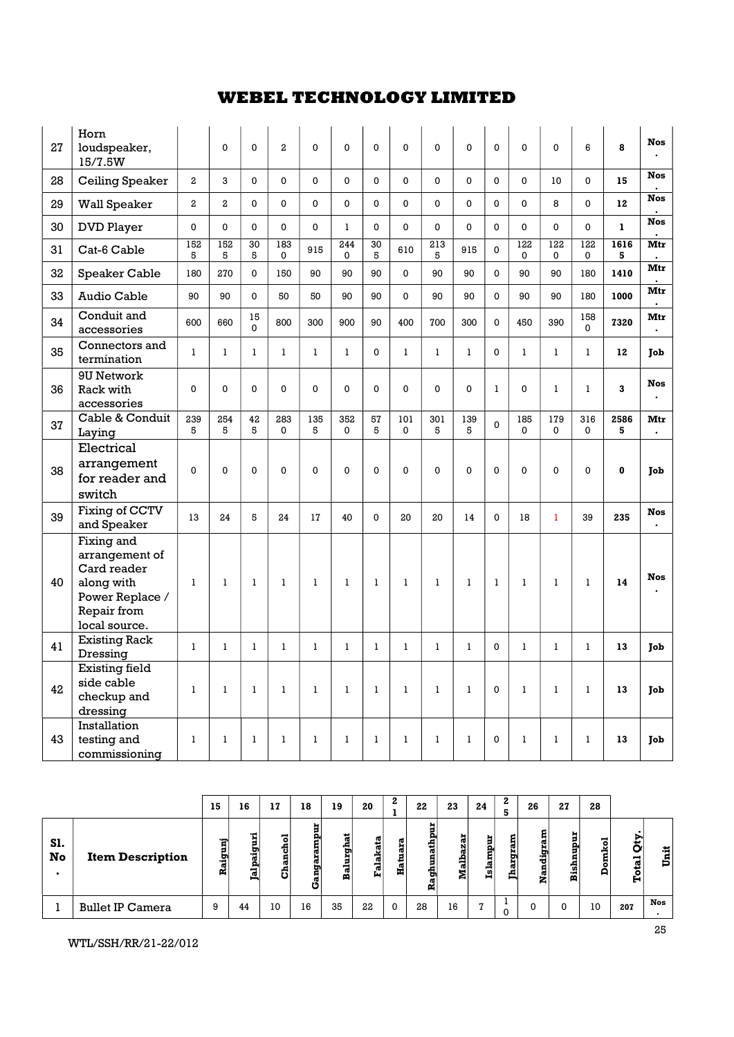| 27 | Horn<br>loudspeaker,<br>15/7.5W                                                                              |                | $\Omega$       | 0              | $\overline{a}$     | $\mathbf 0$  | $\mathbf 0$  | $\mathbf{0}$ | 0            | 0            | $\Omega$     | $\mathbf 0$    | 0            | 0                  | 6               | 8            | <b>Nos</b>                   |
|----|--------------------------------------------------------------------------------------------------------------|----------------|----------------|----------------|--------------------|--------------|--------------|--------------|--------------|--------------|--------------|----------------|--------------|--------------------|-----------------|--------------|------------------------------|
| 28 | Ceiling Speaker                                                                                              | $\overline{a}$ | 3              | 0              | $\mathbf 0$        | $\mathbf 0$  | 0            | $\Omega$     | 0            | 0            | $\mathbf 0$  | 0              | 0            | 10                 | $\mathbf 0$     | 15           | <b>Nos</b>                   |
| 29 | Wall Speaker                                                                                                 | $\overline{a}$ | $\overline{a}$ | $\Omega$       | $\Omega$           | $\mathbf{0}$ | $\mathbf{0}$ | $\mathbf 0$  | $\mathbf{0}$ | 0            | $\Omega$     | $\mathbf{0}$   | 0            | 8                  | $\mathbf 0$     | 12           | <b>Nos</b>                   |
| 30 | <b>DVD Player</b>                                                                                            | 0              | $\mathbf 0$    | $\Omega$       | $\mathbf 0$        | $\Omega$     | $\mathbf{1}$ | $\Omega$     | $\Omega$     | 0            | $\mathbf 0$  | $\mathbf 0$    | 0            | 0                  | 0               | $\mathbf{1}$ | <b>Nos</b>                   |
| 31 | Cat-6 Cable                                                                                                  | 152<br>5       | 152<br>5       | 30<br>5        | 183<br>$\mathbf 0$ | 915          | 244<br>0     | 30<br>5      | 610          | 213<br>5     | 915          | $\overline{0}$ | 122<br>0     | 122<br>0           | 122<br>0        | 1616<br>5    | Mtr                          |
| 32 | Speaker Cable                                                                                                | 180            | 270            | $\mathbf{0}$   | 150                | 90           | 90           | 90           | $\mathbf{0}$ | 90           | 90           | $\overline{0}$ | 90           | 90                 | 180             | 1410         | Mtr                          |
| 33 | Audio Cable                                                                                                  | 90             | 90             | $\mathbf 0$    | 50                 | 50           | 90           | 90           | 0            | 90           | 90           | 0              | 90           | 90                 | 180             | 1000         | Mtr                          |
| 34 | Conduit and<br>accessories                                                                                   | 600            | 660            | 15<br>$\Omega$ | 800                | 300          | 900          | 90           | 400          | 700          | 300          | $\Omega$       | 450          | 390                | 158<br>$\Omega$ | 7320         | Mtr<br>$\blacksquare$        |
| 35 | Connectors and<br>termination                                                                                | $\mathbf{1}$   | $\mathbf{1}$   | $\mathbf{1}$   | $\mathbf{1}$       | $\mathbf{1}$ | 1            | $\Omega$     | $\mathbf{1}$ | $\mathbf{1}$ | 1            | $\Omega$       | $\mathbf{1}$ | 1                  | $\mathbf{1}$    | 12           | Job                          |
| 36 | 9U Network<br>Rack with<br>accessories                                                                       | $\mathbf 0$    | $\Omega$       | $\Omega$       | $\Omega$           | $\mathbf{0}$ | 0            | $\mathbf 0$  | 0            | 0            | $\mathbf 0$  | $\mathbf{1}$   | 0            | 1                  | $\mathbf{1}$    | 3            | <b>Nos</b>                   |
| 37 | Cable & Conduit<br>Laying                                                                                    | 239<br>5       | 254<br>5       | 42<br>5        | 283<br>$\mathbf 0$ | 135<br>5     | 352<br>0     | 57<br>5      | 101<br>0     | 301<br>5     | 139<br>5     | $\overline{0}$ | 185<br>0     | 179<br>$\mathbf 0$ | 316<br>0        | 2586<br>5    | Mtr<br>$\blacksquare$        |
| 38 | Electrical<br>arrangement<br>for reader and<br>switch                                                        | 0              | $\mathbf{0}$   | $\mathbf 0$    | $\Omega$           | $\mathbf 0$  | $\mathbf 0$  | $\mathbf 0$  | $\mathbf 0$  | 0            | $\mathbf 0$  | 0              | $\mathbf 0$  | 0                  | 0               | $\mathbf 0$  | Job                          |
| 39 | Fixing of CCTV<br>and Speaker                                                                                | 13             | 24             | 5              | 24                 | 17           | 40           | $\Omega$     | 20           | 20           | 14           | $\Omega$       | 18           | $\mathbf{1}$       | 39              | 235          | <b>Nos</b><br>$\blacksquare$ |
| 40 | Fixing and<br>arrangement of<br>Card reader<br>along with<br>Power Replace /<br>Repair from<br>local source. | $\mathbf{1}$   | $\mathbf{1}$   | $\mathbf{1}$   | $\mathbf{1}$       | $\mathbf{1}$ | $\mathbf{1}$ | 1            | $\mathbf{1}$ | $\mathbf{1}$ | $\mathbf{1}$ | $\mathbf{1}$   | $\mathbf{1}$ | $\mathbf{1}$       | $\mathbf{1}$    | 14           | <b>Nos</b>                   |
| 41 | <b>Existing Rack</b><br>Dressing                                                                             | $\mathbf{1}$   | $\mathbf{1}$   | $\mathbf{1}$   | $\mathbf{1}$       | $\mathbf{1}$ | $\mathbf{1}$ | $\mathbf{1}$ | $\mathbf{1}$ | $\mathbf{1}$ | $\mathbf{1}$ | $\mathbf{0}$   | $\mathbf{1}$ | $\mathbf{1}$       | $\mathbf{1}$    | 13           | Job                          |
| 42 | <b>Existing field</b><br>side cable<br>checkup and<br>dressing                                               | $\mathbf{1}$   | $\mathbf{1}$   | $\mathbf{1}$   | $\mathbf{1}$       | $\mathbf{1}$ | $\mathbf{1}$ | $\mathbf{1}$ | $\mathbf{1}$ | $\mathbf{1}$ | $\mathbf{1}$ | 0              | 1            | 1                  | $\mathbf{1}$    | 13           | Job                          |
| 43 | Installation<br>testing and<br>commissioning                                                                 | $\mathbf{1}$   | $\mathbf{1}$   | $\bf{l}$       | $\mathbf{1}$       | $\bf{l}$     | $\bf{l}$     | $\mathbf{1}$ | $\bf{l}$     | $\mathbf{1}$ | $\bf{l}$     | 0              | $\bf{l}$     | 1                  | 1               | 13           | Job                          |

|                             |                         | 15     | 16     | 17               | 18          | 19                    | 20                    | ▵           | 22          | 23     | 24           |               | 26                                  | 27          | 28                     |                          |              |  |
|-----------------------------|-------------------------|--------|--------|------------------|-------------|-----------------------|-----------------------|-------------|-------------|--------|--------------|---------------|-------------------------------------|-------------|------------------------|--------------------------|--------------|--|
| SI.<br>No<br>$\blacksquare$ | <b>Item Description</b> | 롉<br>œ | ದ<br>ನ | -<br>튱<br>œ<br>÷ | π<br>ு<br>υ | m<br>-<br>ъ<br>5<br>ನ | ×<br>ω<br>−<br>œ<br>ш | œ<br>æ<br>л | э<br>÷<br>2 | ÷<br>A | ampur<br>E   | ۳о<br>ות<br>ω | គ្ន<br>×<br>σ<br>. .<br>ಕ<br>ã<br>z | shnnqu<br>Ã | mkol<br>$\bullet$<br>A | o<br>−<br><b>ro</b><br>н | 渭<br>Ë.<br>Þ |  |
|                             | <b>Bullet IP Camera</b> | 9      | 44     | 10               | 16          | 35                    | 22                    | $\Omega$    | 28          | 16     | $\mathbf{z}$ |               |                                     | 0           | 10                     | 207                      | <b>Nos</b>   |  |

WTL/SSH/RR/21-22/012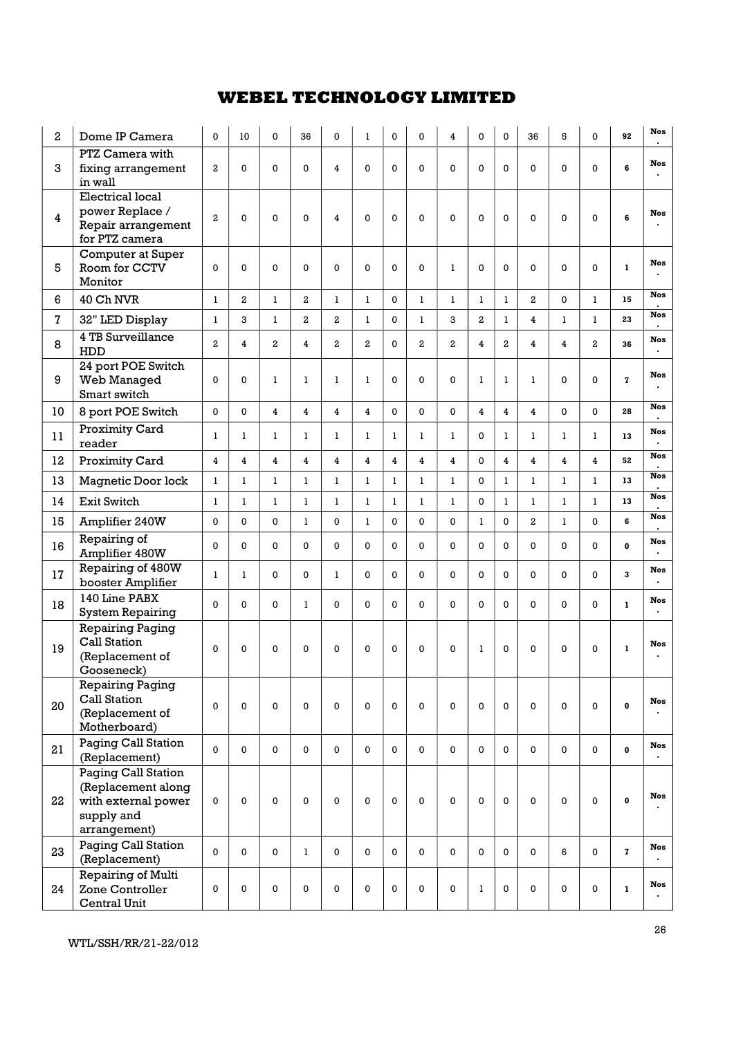| 2  | Dome IP Camera                                                                                 | $\Omega$                | 10             | $\Omega$       | 36                      | 0              | 1                       | 0            | 0            | 4              | 0              | $\Omega$       | 36                      | 5              | $\Omega$                | 92           | <b>Nos</b>      |
|----|------------------------------------------------------------------------------------------------|-------------------------|----------------|----------------|-------------------------|----------------|-------------------------|--------------|--------------|----------------|----------------|----------------|-------------------------|----------------|-------------------------|--------------|-----------------|
| 3  | PTZ Camera with<br>fixing arrangement<br>in wall                                               | $\mathbf{2}$            | 0              | $\Omega$       | $\Omega$                | 4              | $\mathbf 0$             | 0            | $\Omega$     | $\Omega$       | 0              | $\Omega$       | 0                       | 0              | $\Omega$                | 6            | <b>Nos</b>      |
| 4  | Electrical local<br>power Replace /<br>Repair arrangement<br>for PTZ camera                    | $\overline{a}$          | $\mathbf 0$    | $\Omega$       | 0                       | 4              | $\Omega$                | 0            | $\Omega$     | $\Omega$       | 0              | $\Omega$       | $\mathbf 0$             | 0              | $\Omega$                | 6            | <b>Nos</b>      |
| 5  | Computer at Super<br>Room for CCTV<br>Monitor                                                  | $\Omega$                | 0              | $\Omega$       | 0                       | 0              | $\Omega$                | $\Omega$     | 0            | 1              | $\Omega$       | $\Omega$       | 0                       | $\Omega$       | 0                       | $\mathbf{1}$ | <b>Nos</b>      |
| 6  | 40 Ch NVR                                                                                      | 1                       | $\mathbf{2}$   | 1              | 2                       | $\mathbf{1}$   | $\mathbf{1}$            | 0            | $\mathbf{1}$ | $\mathbf{1}$   | $\mathbf{1}$   | 1              | $\overline{a}$          | 0              | $\mathbf{1}$            | 15           | <b>Nos</b>      |
| 7  | 32" LED Display                                                                                | 1                       | 3              | 1              | $\mathbf{2}$            | $\mathbf{2}$   | $\mathbf{1}$            | 0            | $\mathbf{1}$ | 3              | $\overline{a}$ | $\mathbf{1}$   | $\overline{\mathbf{4}}$ | $\mathbf{1}$   | $\mathbf{1}$            | 23           | <b>Nos</b>      |
| 8  | 4 TB Surveillance<br>HDD                                                                       | $\overline{a}$          | $\overline{4}$ | $\overline{a}$ | $\overline{\mathbf{4}}$ | $\mathbf{2}$   | $\mathbf{2}$            | $\Omega$     | 2            | $\overline{a}$ | $\overline{4}$ | $\overline{a}$ | $\overline{4}$          | $\overline{4}$ | $\overline{a}$          | 36           | <b>Nos</b>      |
| 9  | 24 port POE Switch<br>Web Managed<br>Smart switch                                              | $\Omega$                | 0              | 1              | $\mathbf{1}$            | ı              | 1                       | 0            | $\Omega$     | $\Omega$       | $\mathbf{1}$   | 1              | $\mathbf{1}$            | 0              | $\Omega$                | $\mathbf{z}$ | <b>Nos</b>      |
| 10 | 8 port POE Switch                                                                              | 0                       | $\Omega$       | $\overline{4}$ | 4                       | $\overline{4}$ | $\overline{\mathbf{4}}$ | $\mathbf{0}$ | $\Omega$     | $\mathbf 0$    | $\overline{4}$ | $\overline{4}$ | $\overline{\mathbf{4}}$ | 0              | $\Omega$                | 28           | <b>Nos</b>      |
| 11 | Proximity Card<br>reader                                                                       | 1                       | 1              | 1              | $\mathbf{1}$            | 1              | 1                       | $\mathbf{1}$ | 1            | $\mathbf{1}$   | $\Omega$       | 1              | $\mathbf{1}$            | $\mathbf{1}$   | 1                       | 13           | <b>Nos</b>      |
| 12 | Proximity Card                                                                                 | $\overline{\mathbf{4}}$ | $\overline{4}$ | 4              | 4                       | 4              | $\overline{\mathbf{4}}$ | 4            | 4            | $\overline{4}$ | 0              | $\overline{4}$ | $\overline{4}$          | $\overline{4}$ | $\overline{\mathbf{4}}$ | 52           | <b>Nos</b>      |
| 13 | Magnetic Door lock                                                                             | $\mathbf{1}$            | ı              | 1              | $\mathbf{1}$            | $\mathbf{1}$   | $\mathbf{1}$            | $\mathbf{1}$ | $\mathbf{1}$ | $\mathbf{1}$   | 0              | $\mathbf{1}$   | $\bf{l}$                | $\mathbf{1}$   | $\mathbf{1}$            | 13           | <b>Nos</b>      |
| 14 | Exit Switch                                                                                    | 1                       | ı              | 1              | $\mathbf{1}$            | $\mathbf{1}$   | $\mathbf{1}$            | $\mathbf{1}$ | 1            | $\mathbf{1}$   | 0              | $\mathbf{1}$   | $\mathbf{1}$            | $\mathbf{1}$   | 1                       | 13           | <b>Nos</b>      |
| 15 | Amplifier 240W                                                                                 | $\mathbf 0$             | $\Omega$       | $\Omega$       | $\mathbf{1}$            | 0              | $\mathbf{1}$            | 0            | $\Omega$     | $\Omega$       | $\mathbf{1}$   | $\Omega$       | $\overline{a}$          | $\mathbf{1}$   | $\Omega$                | 6            | <b>Nos</b>      |
| 16 | Repairing of<br>Amplifier 480W                                                                 | $\Omega$                | $\mathbf{0}$   | $\Omega$       | $\Omega$                | $\Omega$       | $\Omega$                | 0            | $\Omega$     | $\mathbf{0}$   | $\Omega$       | $\Omega$       | 0                       | $\Omega$       | $\Omega$                | $\mathbf{0}$ | <b>Nos</b><br>× |
| 17 | Repairing of 480W<br>booster Amplifier                                                         | 1                       | 1              | $\Omega$       | $\Omega$                | $\mathbf{1}$   | $\Omega$                | 0            | $\Omega$     | $\Omega$       | $\Omega$       | $\mathbf{0}$   | 0                       | 0              | $\Omega$                | 3            | <b>Nos</b><br>٠ |
| 18 | 140 Line PABX<br><b>System Repairing</b>                                                       | $\Omega$                | $\mathbf 0$    | $\Omega$       | $\mathbf{1}$            | 0              | $\Omega$                | 0            | $\Omega$     | $\Omega$       | $\Omega$       | $\mathbf{0}$   | 0                       | 0              | $\Omega$                | $\mathbf{1}$ | <b>Nos</b>      |
| 19 | <b>Repairing Paging</b><br>Call Station<br>(Replacement of<br>Gooseneck)                       | $\Omega$                | $\Omega$       | $\Omega$       | $\Omega$                | $\Omega$       | $\Omega$                | $\Omega$     | $\Omega$     | $\Omega$       | $\mathbf{1}$   | $\Omega$       | $\Omega$                | $\Omega$       | $\Omega$                | $\mathbf{1}$ | <b>Nos</b>      |
| 20 | <b>Repairing Paging</b><br>Call Station<br>(Replacement of<br>Motherboard)                     | 0                       | $\mathbf 0$    | $\mathbf 0$    | 0                       | 0              | $\mathbf 0$             | 0            | $\mathbf 0$  | $\mathbf 0$    | 0              | $\mathbf 0$    | $\mathbf 0$             | $\mathbf 0$    | 0                       | $\pmb{0}$    | Nos             |
| 21 | Paging Call Station<br>(Replacement)                                                           | 0                       | 0              | 0              | 0                       | 0              | $\mathbf 0$             | 0            | 0            | $\mathbf 0$    | 0              | $\mathbf 0$    | $\mathbf 0$             | 0              | 0                       | $\mathbf 0$  | Nos             |
| 22 | Paging Call Station<br>(Replacement along<br>with external power<br>supply and<br>arrangement) | 0                       | $\mathbf 0$    | $\mathbf 0$    | 0                       | 0              | $\mathbf 0$             | 0            | $\mathbf 0$  | $\mathbf 0$    | 0              | $\mathbf 0$    | $\mathbf 0$             | $\mathbf 0$    | 0                       | $\mathbf 0$  | Nos             |
| 23 | Paging Call Station<br>(Replacement)                                                           | 0                       | 0              | 0              | $\mathbf{1}$            | 0              | 0                       | 0            | 0            | $\mathbf 0$    | 0              | 0              | $\mathbf 0$             | 6              | 0                       | $\mathbf{z}$ | Nos             |
| 24 | Repairing of Multi<br>Zone Controller<br>Central Unit                                          | 0                       | 0              | 0              | 0                       | 0              | 0                       | 0            | 0            | $\mathbf 0$    | $\mathbf{1}$   | 0              | $\pmb{0}$               | 0              | 0                       | $\mathbf 1$  | Nos             |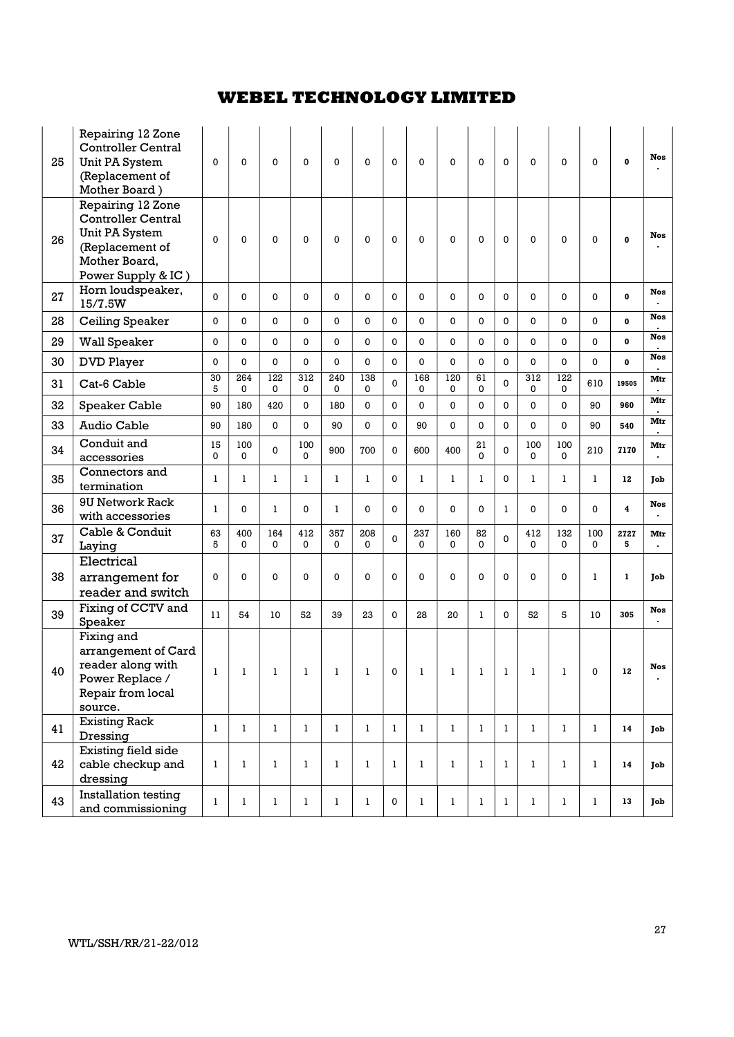| 25 | Repairing 12 Zone<br><b>Controller Central</b><br>Unit PA System<br>(Replacement of<br>Mother Board)                       | $\mathbf 0$  | $\mathbf 0$        | $\mathbf 0$  | 0               | $\mathbf 0$  | $\mathbf 0$        | 0            | $\Omega$     | $\mathbf 0$        | 0              | $\mathbf 0$    | $\mathbf 0$  | $\mathbf 0$  | 0            | 0                       | <b>Nos</b>            |
|----|----------------------------------------------------------------------------------------------------------------------------|--------------|--------------------|--------------|-----------------|--------------|--------------------|--------------|--------------|--------------------|----------------|----------------|--------------|--------------|--------------|-------------------------|-----------------------|
| 26 | Repairing 12 Zone<br><b>Controller Central</b><br>Unit PA System<br>(Replacement of<br>Mother Board,<br>Power Supply & IC) | $\Omega$     | $\mathbf 0$        | $\Omega$     | 0               | $\mathbf 0$  | $\mathbf 0$        | 0            | $\Omega$     | $\mathbf{0}$       | 0              | $\Omega$       | $\mathbf 0$  | $\mathbf 0$  | $\Omega$     | $\mathbf 0$             | <b>Nos</b>            |
| 27 | Horn loudspeaker,<br>15/7.5W                                                                                               | $\Omega$     | $\mathbf 0$        | $\Omega$     | 0               | 0            | $\mathbf 0$        | 0            | 0            | $\mathbf 0$        | 0              | $\mathbf 0$    | 0            | 0            | $\Omega$     | 0                       | <b>Nos</b>            |
| 28 | Ceiling Speaker                                                                                                            | $\mathbf 0$  | 0                  | 0            | 0               | 0            | $\mathbf 0$        | 0            | 0            | $\mathbf{0}$       | 0              | $\Omega$       | 0            | 0            | $\Omega$     | 0                       | <b>Nos</b>            |
| 29 | <b>Wall Speaker</b>                                                                                                        | $\mathbf 0$  | 0                  | 0            | $\Omega$        | 0            | $\mathbf 0$        | 0            | 0            | $\mathbf 0$        | 0              | 0              | $\mathbf 0$  | 0            | $\Omega$     | $\mathbf{0}$            | <b>Nos</b>            |
| 30 | <b>DVD Player</b>                                                                                                          | 0            | 0                  | $\Omega$     | $\Omega$        | $\Omega$     | $\Omega$           | 0            | $\Omega$     | $\Omega$           | 0              | $\Omega$       | 0            | $\Omega$     | $\Omega$     | $\mathbf{0}$            | <b>Nos</b>            |
| 31 | Cat-6 Cable                                                                                                                | 30<br>5      | 264<br>0           | 122<br>0     | 312<br>0        | 240<br>0     | 138<br>$\mathbf 0$ | $\Omega$     | 168<br>0     | 120<br>0           | 61<br>0        | $\Omega$       | 312<br>0     | 122<br>0     | 610          | 19505                   | Mtr                   |
| 32 | Speaker Cable                                                                                                              | 90           | 180                | 420          | $\Omega$        | 180          | 0                  | 0            | $\Omega$     | $\Omega$           | 0              | $\Omega$       | $\mathbf 0$  | 0            | 90           | 960                     | Mtr                   |
| 33 | Audio Cable                                                                                                                | 90           | 180                | $\Omega$     | 0               | 90           | 0                  | 0            | 90           | $\Omega$           | 0              | $\Omega$       | 0            | $\Omega$     | 90           | 540                     | Mtr                   |
| 34 | Conduit and<br>accessories                                                                                                 | 15<br>0      | 100<br>0           | $\Omega$     | 100<br>$\Omega$ | 900          | 700                | 0            | 600          | 400                | 21<br>$\Omega$ | $\Omega$       | 100<br>0     | 100<br>0     | 210          | 7170                    | Mtr                   |
| 35 | Connectors and<br>termination                                                                                              | 1            | ı                  | 1            | 1               | 1            | 1                  | 0            | 1            | 1                  | $\mathbf{1}$   | 0              | 1            | 1            | 1            | 12                      | Job                   |
| 36 | <b>9U Network Rack</b><br>with accessories                                                                                 | 1            | 0                  | 1            | 0               | $\mathbf{1}$ | $\Omega$           | 0            | $\Omega$     | $\mathbf{0}$       | $\Omega$       | 1              | 0            | 0            | $\Omega$     | $\overline{\mathbf{4}}$ | Nos                   |
| 37 | Cable & Conduit<br>Laying                                                                                                  | 63<br>5      | 400<br>$\mathbf 0$ | 164<br>0     | 412<br>0        | 357<br>0     | 208<br>0           | 0            | 237<br>0     | 160<br>$\mathbf 0$ | 82<br>0        | $\Omega$       | 412<br>0     | 132<br>0     | 100<br>0     | 2727<br>5               | Mtr<br>$\blacksquare$ |
| 38 | Electrical<br>arrangement for<br>reader and switch                                                                         | 0            | 0                  | 0            | 0               | 0            | $\pmb{0}$          | 0            | 0            | $\mathbf 0$        | 0              | 0              | $\mathbf 0$  | 0            | 1            | 1                       | Job                   |
| 39 | Fixing of CCTV and<br>Speaker                                                                                              | 11           | 54                 | 10           | 52              | 39           | 23                 | 0            | 28           | 20                 | $\mathbf{1}$   | $\Omega$       | 52           | 5            | 10           | 305                     | <b>Nos</b>            |
| 40 | Fixing and<br>arrangement of Card<br>reader along with<br>Power Replace /<br>Repair from local<br>source.                  | 1            | $\bf 1$            | $\mathbf{1}$ | $\mathbf{1}$    | $\mathbf{1}$ | $\mathbf{1}^-$     | $\mathbf 0$  | $\mathbf{1}$ | $\mathbf{1}$       | $\mathbf{1}$   | $\,$ $\,$ $\,$ | -1           | $\mathbf{1}$ | $\Omega$     | 12                      | <b>Nos</b>            |
| 41 | <b>Existing Rack</b><br>Dressing                                                                                           | $\mathbf{1}$ | $\mathbf{1}$       | $\mathbf{1}$ | $\mathbf{1}$    | $\mathbf{1}$ | $\mathbf{1}$       | $\mathbf{1}$ | $\mathbf{1}$ | $\mathbf{1}$       | $\mathbf{1}$   | $\mathbf{1}$   | $\mathbf{1}$ | $\mathbf{1}$ | $\mathbf{1}$ | 14                      | Job                   |
| 42 | Existing field side<br>cable checkup and<br>dressing                                                                       | 1            | $\mathbf{1}$       | 1            | $\mathbf 1$     | 1            | 1                  | 1            | 1            | $\mathbf{1}$       | $\mathbf{1}$   | 1              | $\mathbf{1}$ | $\mathbf{1}$ | 1            | 14                      | Job                   |
| 43 | Installation testing<br>and commissioning                                                                                  | $\mathbf{1}$ | $\mathbf{1}$       | $\mathbf{1}$ | $\mathbf{1}$    | $\mathbf{1}$ | $\mathbf{1}$       | 0            | $\mathbf{1}$ | $\mathbf{1}$       | $\mathbf{1}$   | $\mathbf{1}$   | $\mathbf{1}$ | $\mathbf{1}$ | $\mathbf{1}$ | 13                      | Job                   |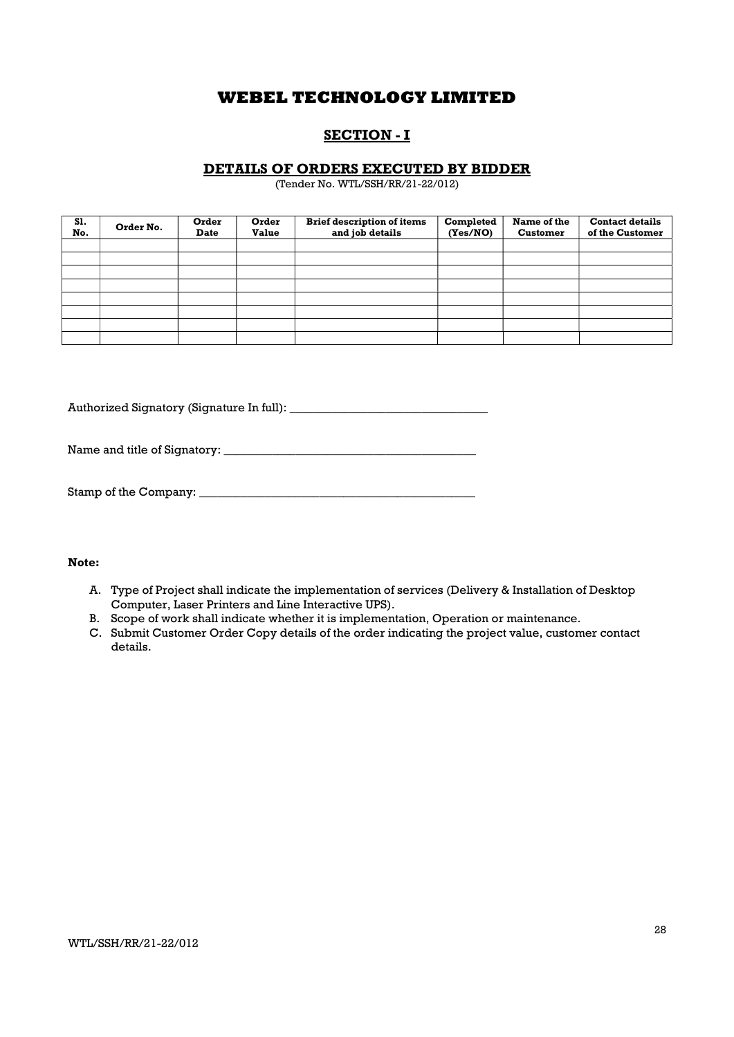## SECTION - I

### DETAILS OF ORDERS EXECUTED BY BIDDER

(Tender No. WTL/SSH/RR/21-22/012)

| S1.<br>No. | Order No. | Order<br><b>Date</b> | Order<br><b>Value</b> | <b>Brief description of items</b><br>and job details | Completed<br>(Yes/NO) | Name of the<br><b>Customer</b> | <b>Contact details</b><br>of the Customer |
|------------|-----------|----------------------|-----------------------|------------------------------------------------------|-----------------------|--------------------------------|-------------------------------------------|
|            |           |                      |                       |                                                      |                       |                                |                                           |
|            |           |                      |                       |                                                      |                       |                                |                                           |
|            |           |                      |                       |                                                      |                       |                                |                                           |
|            |           |                      |                       |                                                      |                       |                                |                                           |
|            |           |                      |                       |                                                      |                       |                                |                                           |
|            |           |                      |                       |                                                      |                       |                                |                                           |
|            |           |                      |                       |                                                      |                       |                                |                                           |
|            |           |                      |                       |                                                      |                       |                                |                                           |

Authorized Signatory (Signature In full): \_\_\_\_\_\_\_\_\_\_\_\_\_\_\_\_\_\_\_\_\_\_\_\_\_\_\_\_\_\_\_\_\_

Name and title of Signatory: \_\_\_\_\_\_\_\_\_\_\_\_\_\_\_\_\_\_\_\_\_\_\_\_\_\_\_\_\_\_\_\_\_\_\_\_\_\_\_\_\_\_

| Stamp of the Company: |  |
|-----------------------|--|
|-----------------------|--|

### Note:

- A. Type of Project shall indicate the implementation of services (Delivery & Installation of Desktop Computer, Laser Printers and Line Interactive UPS).
- B. Scope of work shall indicate whether it is implementation, Operation or maintenance.
- C. Submit Customer Order Copy details of the order indicating the project value, customer contact details.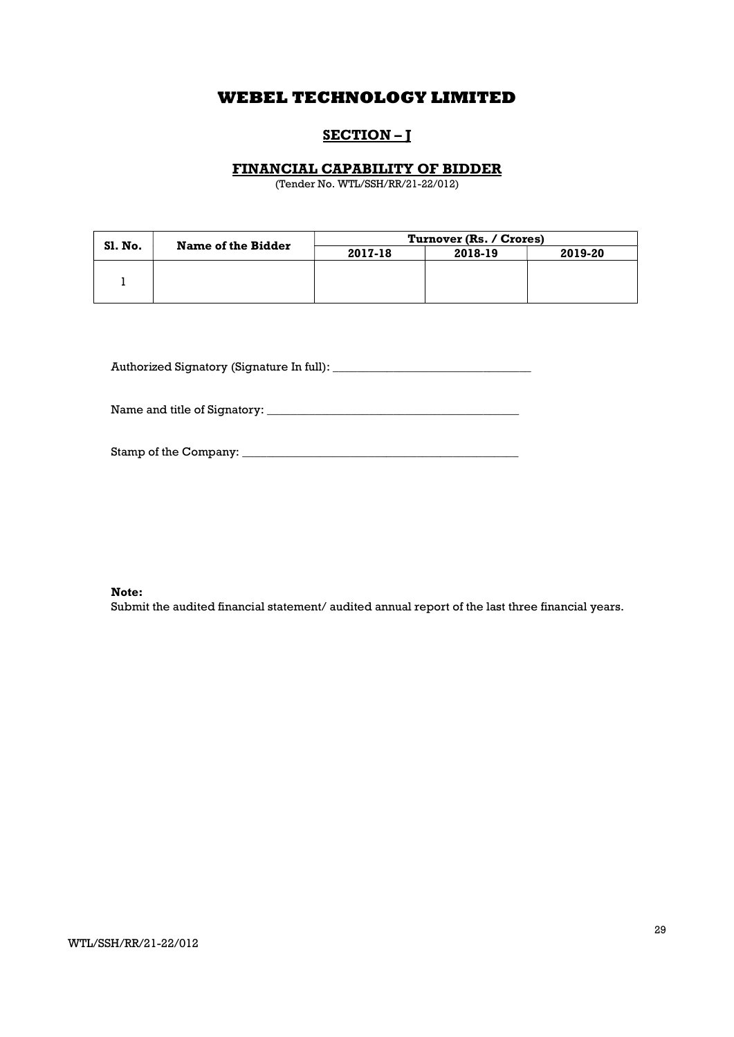## SECTION-J

### FINANCIAL CAPABILITY OF BIDDER

(Tender No. WTL/SSH/RR/21-22/012)

|                | Name of the Bidder | Turnover (Rs. / Crores) |         |         |  |
|----------------|--------------------|-------------------------|---------|---------|--|
| <b>SI. No.</b> |                    | 2017-18                 | 2018-19 | 2019-20 |  |
|                |                    |                         |         |         |  |
|                |                    |                         |         |         |  |
|                |                    |                         |         |         |  |

Authorized Signatory (Signature In full): \_\_\_\_\_\_\_\_\_\_\_\_\_\_\_\_\_\_\_\_\_\_\_\_\_\_\_\_\_\_\_\_\_

Name and title of Signatory: \_\_\_\_\_\_\_\_\_\_\_\_\_\_\_\_\_\_\_\_\_\_\_\_\_\_\_\_\_\_\_\_\_\_\_\_\_\_\_\_\_\_

| Stamp of the Company: |  |
|-----------------------|--|
|                       |  |

#### Note:

Submit the audited financial statement/ audited annual report of the last three financial years.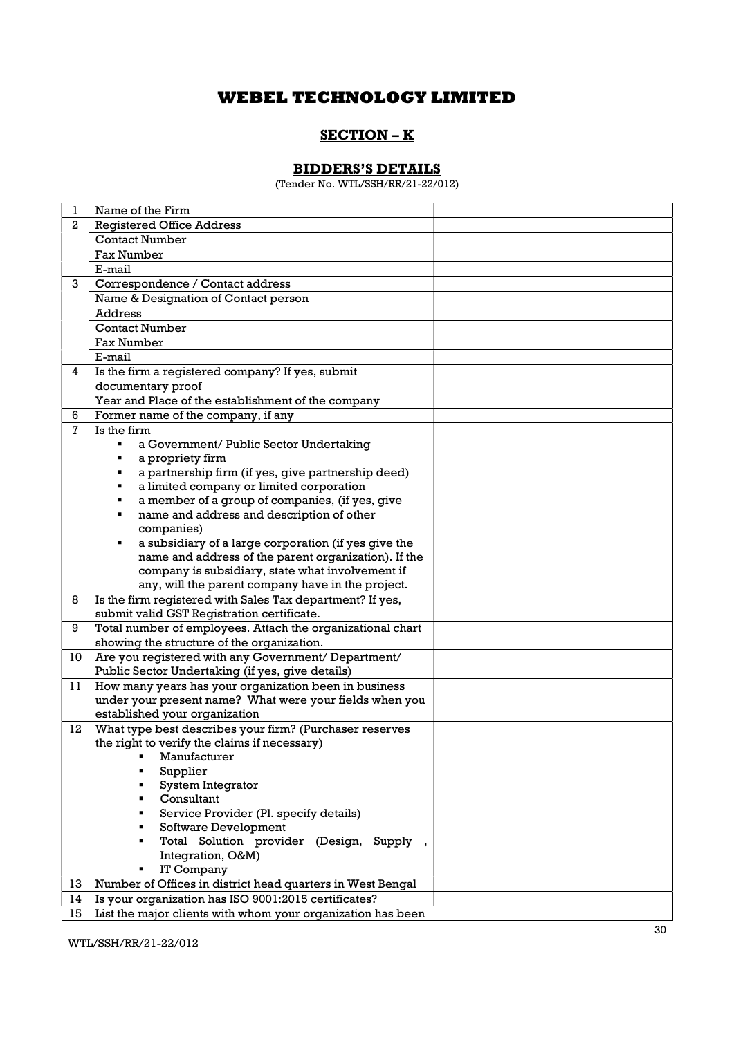## SECTION – K

## BIDDERS'S DETAILS

(Tender No. WTL/SSH/RR/21-22/012)

| 1  | Name of the Firm                                            |
|----|-------------------------------------------------------------|
| 2  | <b>Registered Office Address</b>                            |
|    | <b>Contact Number</b>                                       |
|    | <b>Fax Number</b>                                           |
|    | E-mail                                                      |
| 3  | Correspondence / Contact address                            |
|    | Name & Designation of Contact person                        |
|    | Address                                                     |
|    | <b>Contact Number</b>                                       |
|    | <b>Fax Number</b>                                           |
|    | E-mail                                                      |
| 4  | Is the firm a registered company? If yes, submit            |
|    | documentary proof                                           |
|    | Year and Place of the establishment of the company          |
| 6  | Former name of the company, if any                          |
| 7  | Is the firm                                                 |
|    | a Government/ Public Sector Undertaking                     |
|    | a propriety firm                                            |
|    | a partnership firm (if yes, give partnership deed)<br>٠     |
|    | a limited company or limited corporation<br>٠               |
|    | a member of a group of companies, (if yes, give<br>٠        |
|    | name and address and description of other<br>٠              |
|    | companies)                                                  |
|    | a subsidiary of a large corporation (if yes give the<br>٠   |
|    | name and address of the parent organization). If the        |
|    | company is subsidiary, state what involvement if            |
|    | any, will the parent company have in the project.           |
| 8  | Is the firm registered with Sales Tax department? If yes,   |
|    | submit valid GST Registration certificate.                  |
| 9  | Total number of employees. Attach the organizational chart  |
|    | showing the structure of the organization.                  |
| 10 | Are you registered with any Government/ Department/         |
|    | Public Sector Undertaking (if yes, give details)            |
| 11 | How many years has your organization been in business       |
|    | under your present name? What were your fields when you     |
|    | established your organization                               |
| 12 | What type best describes your firm? (Purchaser reserves     |
|    | the right to verify the claims if necessary)                |
|    | ■ Manufacturer                                              |
|    | Supplier<br>System Integrator                               |
|    | Consultant                                                  |
|    | Service Provider (Pl. specify details)                      |
|    | Software Development                                        |
|    | Total Solution provider (Design, Supply,                    |
|    | Integration, O&M)                                           |
|    | IT Company                                                  |
| 13 | Number of Offices in district head quarters in West Bengal  |
| 14 | Is your organization has ISO 9001:2015 certificates?        |
| 15 | List the major clients with whom your organization has been |
|    |                                                             |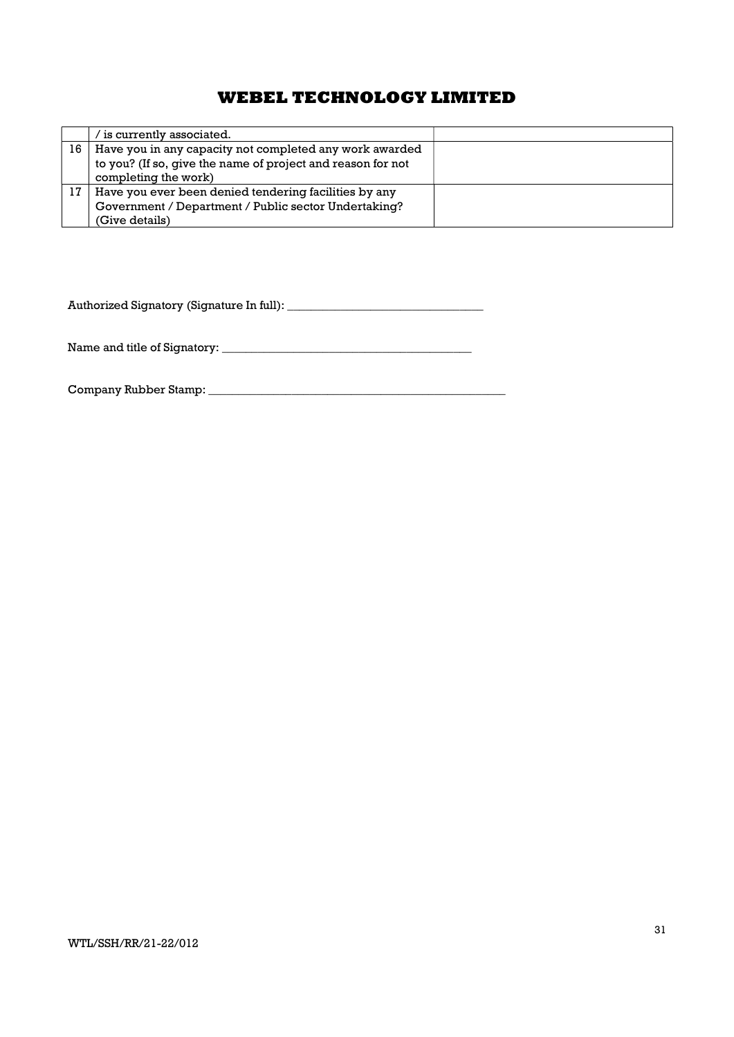|    | is currently associated. ⁄                                  |  |
|----|-------------------------------------------------------------|--|
| 16 | Have you in any capacity not completed any work awarded     |  |
|    | to you? (If so, give the name of project and reason for not |  |
|    | completing the work)                                        |  |
|    | Have you ever been denied tendering facilities by any       |  |
|    | Government / Department / Public sector Undertaking?        |  |
|    | (Give details)                                              |  |

Authorized Signatory (Signature In full): \_\_\_\_\_\_\_\_\_\_\_\_\_\_\_\_\_\_\_\_\_\_\_\_\_\_\_\_\_\_\_\_\_

Name and title of Signatory: \_\_\_\_\_\_\_\_\_\_\_\_\_\_\_\_\_\_\_\_\_\_\_\_\_\_\_\_\_\_\_\_\_\_\_\_\_\_\_\_\_\_

Company Rubber Stamp: \_\_\_\_\_\_\_\_\_\_\_\_\_\_\_\_\_\_\_\_\_\_\_\_\_\_\_\_\_\_\_\_\_\_\_\_\_\_\_\_\_\_\_\_\_\_\_\_\_\_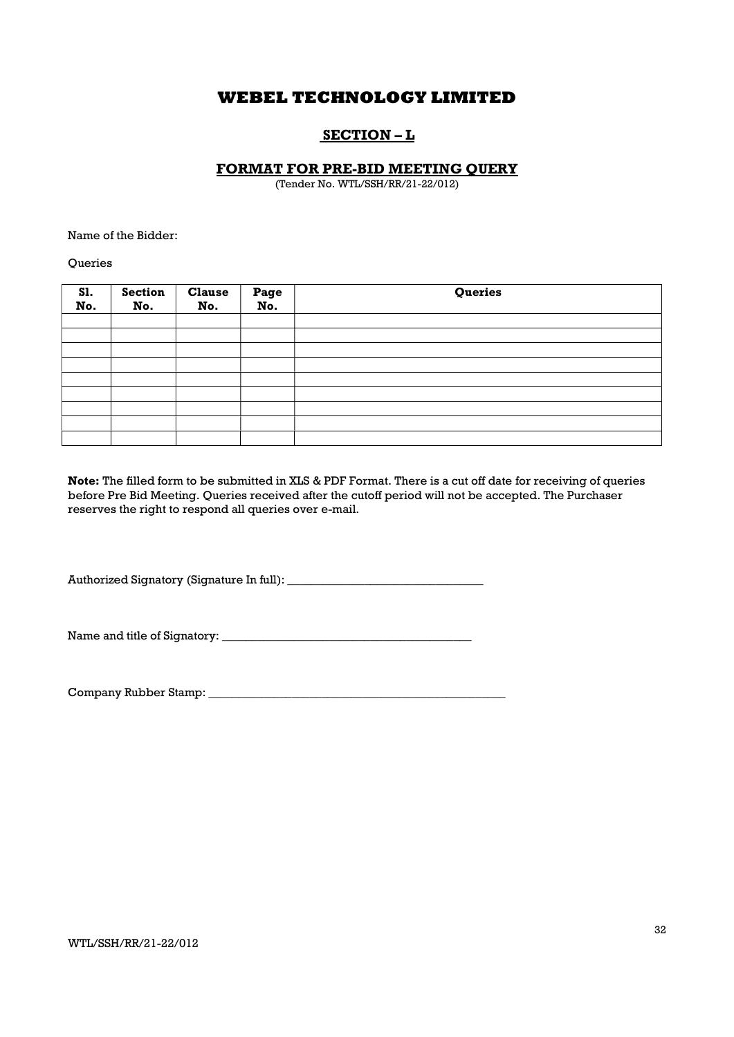## SECTION – L

### FORMAT FOR PRE-BID MEETING QUERY

(Tender No. WTL/SSH/RR/21-22/012)

Name of the Bidder:

**Queries** 

| <b>S1.</b><br>No. | <b>Section</b><br>No. | <b>Clause</b><br>No. | Page<br>No. | Queries |
|-------------------|-----------------------|----------------------|-------------|---------|
|                   |                       |                      |             |         |
|                   |                       |                      |             |         |
|                   |                       |                      |             |         |
|                   |                       |                      |             |         |
|                   |                       |                      |             |         |
|                   |                       |                      |             |         |
|                   |                       |                      |             |         |
|                   |                       |                      |             |         |
|                   |                       |                      |             |         |

Note: The filled form to be submitted in XLS & PDF Format. There is a cut off date for receiving of queries before Pre Bid Meeting. Queries received after the cutoff period will not be accepted. The Purchaser reserves the right to respond all queries over e-mail.

Authorized Signatory (Signature In full): \_\_\_\_\_\_\_\_\_\_\_\_\_\_\_\_\_\_\_\_\_\_\_\_\_\_\_\_\_\_\_\_\_

Name and title of Signatory: \_\_\_\_\_\_\_\_\_\_\_\_\_\_\_\_\_\_\_\_\_\_\_\_\_\_\_\_\_\_\_\_\_\_\_\_\_\_\_\_\_\_

Company Rubber Stamp: \_\_\_\_\_\_\_\_\_\_\_\_\_\_\_\_\_\_\_\_\_\_\_\_\_\_\_\_\_\_\_\_\_\_\_\_\_\_\_\_\_\_\_\_\_\_\_\_\_\_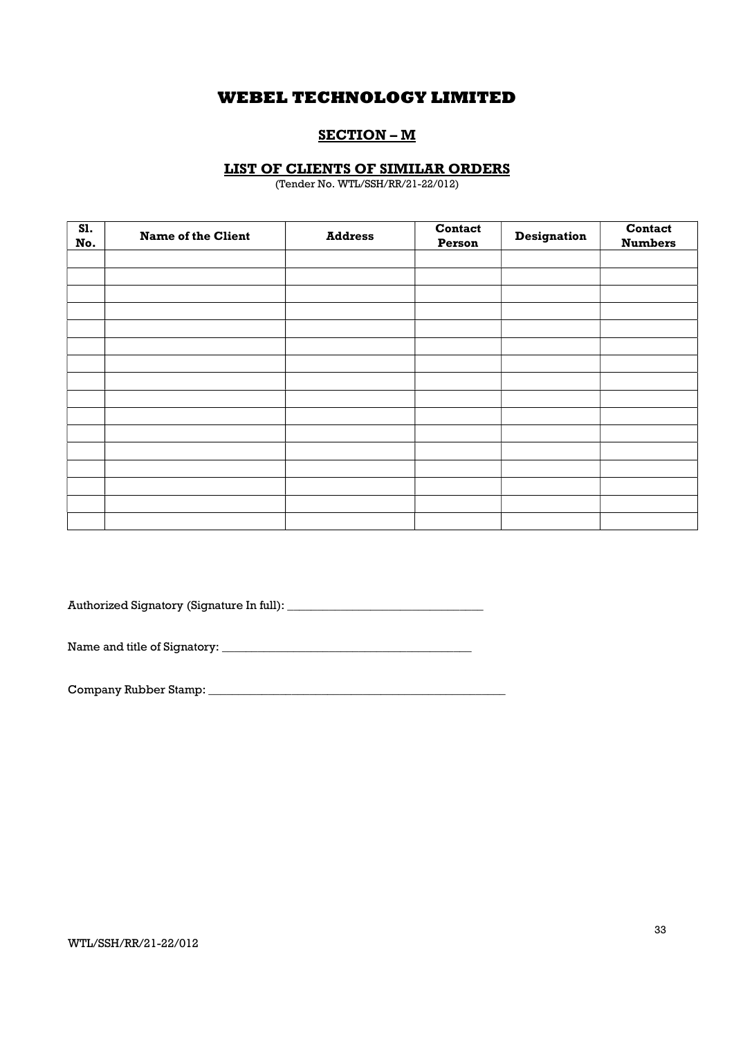### SECTION – M

### LIST OF CLIENTS OF SIMILAR ORDERS

(Tender No. WTL/SSH/RR/21-22/012)

| <b>S1.</b><br>No. | <b>Name of the Client</b> | <b>Address</b> | Contact<br>Person | Designation | Contact<br><b>Numbers</b> |
|-------------------|---------------------------|----------------|-------------------|-------------|---------------------------|
|                   |                           |                |                   |             |                           |
|                   |                           |                |                   |             |                           |
|                   |                           |                |                   |             |                           |
|                   |                           |                |                   |             |                           |
|                   |                           |                |                   |             |                           |
|                   |                           |                |                   |             |                           |
|                   |                           |                |                   |             |                           |
|                   |                           |                |                   |             |                           |
|                   |                           |                |                   |             |                           |
|                   |                           |                |                   |             |                           |
|                   |                           |                |                   |             |                           |
|                   |                           |                |                   |             |                           |
|                   |                           |                |                   |             |                           |
|                   |                           |                |                   |             |                           |
|                   |                           |                |                   |             |                           |
|                   |                           |                |                   |             |                           |

Authorized Signatory (Signature In full): \_\_\_\_\_\_\_\_\_\_\_\_\_\_\_\_\_\_\_\_\_\_\_\_\_\_\_\_\_\_\_\_\_

Name and title of Signatory: \_\_\_\_\_\_\_\_\_\_\_\_\_\_\_\_\_\_\_\_\_\_\_\_\_\_\_\_\_\_\_\_\_\_\_\_\_\_\_\_\_\_

Company Rubber Stamp: \_\_\_\_\_\_\_\_\_\_\_\_\_\_\_\_\_\_\_\_\_\_\_\_\_\_\_\_\_\_\_\_\_\_\_\_\_\_\_\_\_\_\_\_\_\_\_\_\_\_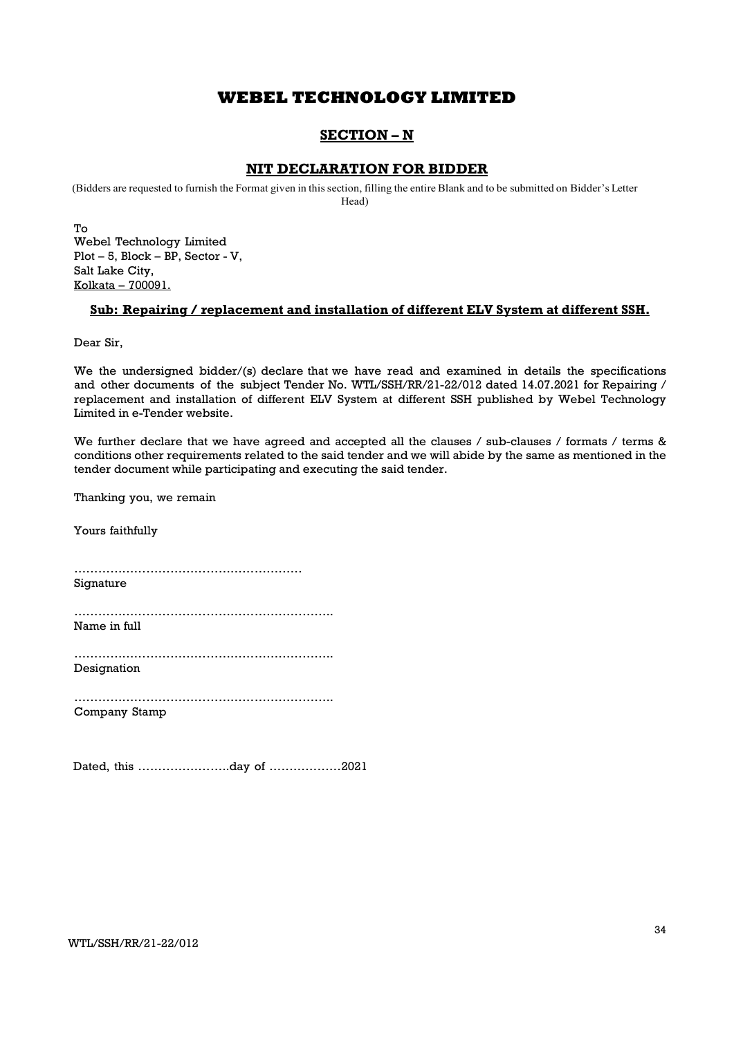## SECTION – N

### NIT DECLARATION FOR BIDDER

(Bidders are requested to furnish the Format given in this section, filling the entire Blank and to be submitted on Bidder's Letter Head)

To Webel Technology Limited Plot – 5, Block – BP, Sector - V, Salt Lake City, Kolkata – 700091.

### Sub: Repairing / replacement and installation of different ELV System at different SSH.

Dear Sir,

We the undersigned bidder/(s) declare that we have read and examined in details the specifications and other documents of the subject Tender No. WTL/SSH/RR/21-22/012 dated 14.07.2021 for Repairing / replacement and installation of different ELV System at different SSH published by Webel Technology Limited in e-Tender website.

We further declare that we have agreed and accepted all the clauses / sub-clauses / formats / terms & conditions other requirements related to the said tender and we will abide by the same as mentioned in the tender document while participating and executing the said tender.

Thanking you, we remain

Yours faithfully

………………………………………………… Signature

……………………………………………………….. Name in full

……………………………………………………….. Designation

……………………………………………………….. Company Stamp

Dated, this …………………..day of ………………2021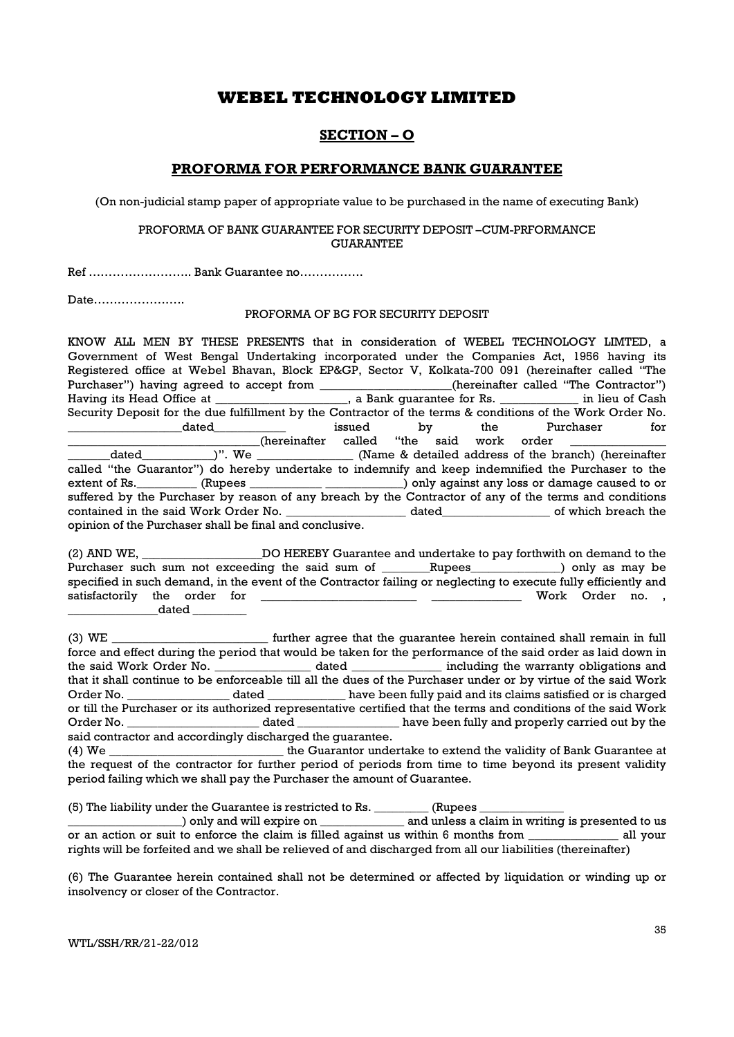### SECTION – O

### PROFORMA FOR PERFORMANCE BANK GUARANTEE

(On non-judicial stamp paper of appropriate value to be purchased in the name of executing Bank)

#### PROFORMA OF BANK GUARANTEE FOR SECURITY DEPOSIT –CUM-PRFORMANCE **GUARANTEE**

Ref …………………….. Bank Guarantee no…………….

Date…………………..

#### PROFORMA OF BG FOR SECURITY DEPOSIT

KNOW ALL MEN BY THESE PRESENTS that in consideration of WEBEL TECHNOLOGY LIMTED, a Government of West Bengal Undertaking incorporated under the Companies Act, 1956 having its Registered office at Webel Bhavan, Block EP&GP, Sector V, Kolkata-700 091 (hereinafter called "The Purchaser") having agreed to accept from \_\_\_\_\_\_\_\_\_\_\_\_\_\_\_\_\_(hereinafter called "The Contractor") Purchaser") having agreed to accept from \_\_\_\_\_\_ Having its Head Office at \_\_\_\_\_\_\_\_\_\_\_\_\_\_\_\_\_, a Bank guarantee for Rs. \_\_\_\_\_\_\_\_\_\_\_\_\_\_ in lieu of Cash Security Deposit for the due fulfillment by the Contractor of the terms & conditions of the Work Order No. dated a controller issued by the Purchaser for  $_$  (hereinafter called "the said work order \_\_\_\_\_\_\_dated\_\_\_\_\_\_\_\_\_\_\_\_)". We \_\_\_\_\_\_\_\_\_\_\_\_\_\_\_\_ (Name & detailed address of the branch) (hereinafter called "the Guarantor") do hereby undertake to indemnify and keep indemnified the Purchaser to the extent of Rs. \_\_\_\_\_\_\_\_\_ (Rupees \_\_\_\_\_\_\_\_\_\_\_\_\_\_\_\_\_\_\_\_\_\_\_\_\_) only against any loss or damage caused to or suffered by the Purchaser by reason of any breach by the Contractor of any of the terms and conditions contained in the said Work Order No. \_\_\_\_\_\_\_\_\_\_\_\_\_\_\_\_\_\_\_\_ dated\_\_\_\_\_\_\_\_\_\_\_\_\_\_\_\_\_\_ of which breach the opinion of the Purchaser shall be final and conclusive.

(2) AND WE, \_\_\_\_\_\_\_\_\_\_\_\_\_\_\_\_\_\_\_\_DO HEREBY Guarantee and undertake to pay forthwith on demand to the Purchaser such sum not exceeding the said sum of \_\_\_\_\_\_Rupees\_\_\_\_\_\_\_\_\_\_\_\_) only as may be specified in such demand, in the event of the Contractor failing or neglecting to execute fully efficiently and satisfactorily the order for \_\_\_\_\_\_\_\_\_\_\_\_\_\_\_\_\_\_\_\_\_\_\_\_\_\_ \_\_\_\_\_\_\_\_\_\_\_\_\_\_\_ Work Order no. ,  $\_$  dated  $\_$ 

(3) WE \_\_\_\_\_\_\_\_\_\_\_\_\_\_\_\_\_\_\_\_\_\_\_\_\_\_ further agree that the guarantee herein contained shall remain in full force and effect during the period that would be taken for the performance of the said order as laid down in the said Work Order No. \_\_\_\_\_\_\_\_\_\_\_\_\_\_\_\_ dated \_\_\_\_\_\_\_\_\_\_\_\_\_\_\_ including the warranty obligations and that it shall continue to be enforceable till all the dues of the Purchaser under or by virtue of the said Work Order No. **Example 2** dated the same been fully paid and its claims satisfied or is charged or till the Purchaser or its authorized representative certified that the terms and conditions of the said Work Order No. \_\_\_\_\_\_\_\_\_\_\_\_\_\_\_\_\_\_\_\_\_\_ dated \_\_\_\_\_\_\_\_\_\_\_\_\_\_\_\_\_ have been fully and properly carried out by the said contractor and accordingly discharged the guarantee.

(4) We \_\_\_\_\_\_\_\_\_\_\_\_\_\_\_\_\_\_\_\_\_\_\_\_\_\_\_\_\_ the Guarantor undertake to extend the validity of Bank Guarantee at the request of the contractor for further period of periods from time to time beyond its present validity period failing which we shall pay the Purchaser the amount of Guarantee.

(5) The liability under the Guarantee is restricted to Rs. \_\_\_\_\_\_\_\_\_ (Rupees \_\_\_\_\_\_\_\_\_\_\_\_\_\_

) only and will expire on  $\qquad \qquad$  and unless a claim in writing is presented to us or an action or suit to enforce the claim is filled against us within 6 months from \_\_\_\_\_\_\_\_\_\_\_\_\_\_\_ all your rights will be forfeited and we shall be relieved of and discharged from all our liabilities (thereinafter)

(6) The Guarantee herein contained shall not be determined or affected by liquidation or winding up or insolvency or closer of the Contractor.